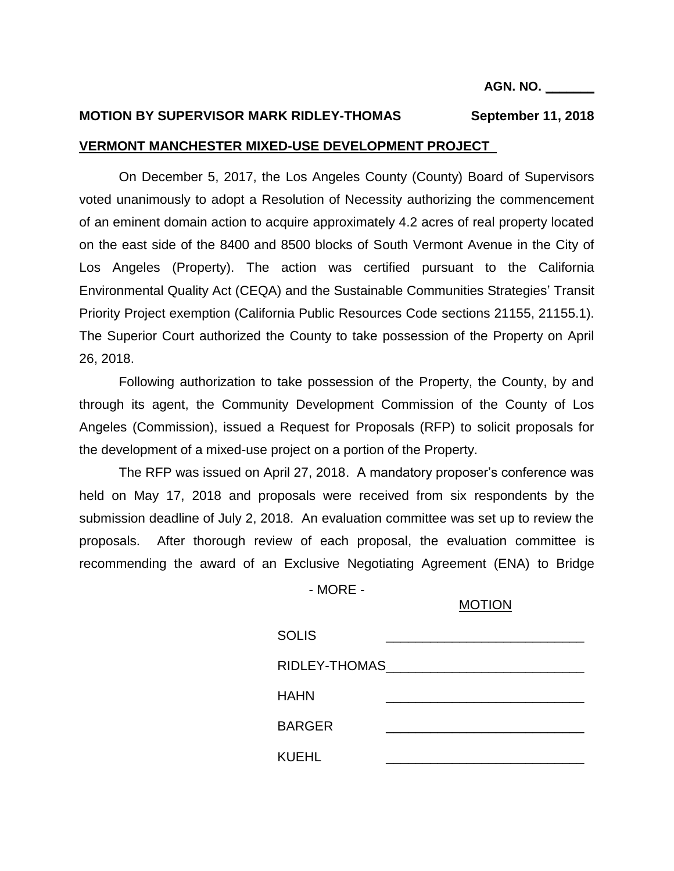# **MOTION BY SUPERVISOR MARK RIDLEY-THOMAS September 11, 2018**

#### **VERMONT MANCHESTER MIXED-USE DEVELOPMENT PROJECT**

On December 5, 2017, the Los Angeles County (County) Board of Supervisors voted unanimously to adopt a Resolution of Necessity authorizing the commencement of an eminent domain action to acquire approximately 4.2 acres of real property located on the east side of the 8400 and 8500 blocks of South Vermont Avenue in the City of Los Angeles (Property). The action was certified pursuant to the California Environmental Quality Act (CEQA) and the Sustainable Communities Strategies' Transit Priority Project exemption (California Public Resources Code sections 21155, 21155.1). The Superior Court authorized the County to take possession of the Property on April 26, 2018.

Following authorization to take possession of the Property, the County, by and through its agent, the Community Development Commission of the County of Los Angeles (Commission), issued a Request for Proposals (RFP) to solicit proposals for the development of a mixed-use project on a portion of the Property.

The RFP was issued on April 27, 2018. A mandatory proposer's conference was held on May 17, 2018 and proposals were received from six respondents by the submission deadline of July 2, 2018. An evaluation committee was set up to review the proposals. After thorough review of each proposal, the evaluation committee is recommending the award of an Exclusive Negotiating Agreement (ENA) to Bridge

- MORE -

#### MOTION

| <b>SOLIS</b>  |  |
|---------------|--|
| RIDLEY-THOMAS |  |
| <b>HAHN</b>   |  |
| <b>BARGER</b> |  |
| KUEHL         |  |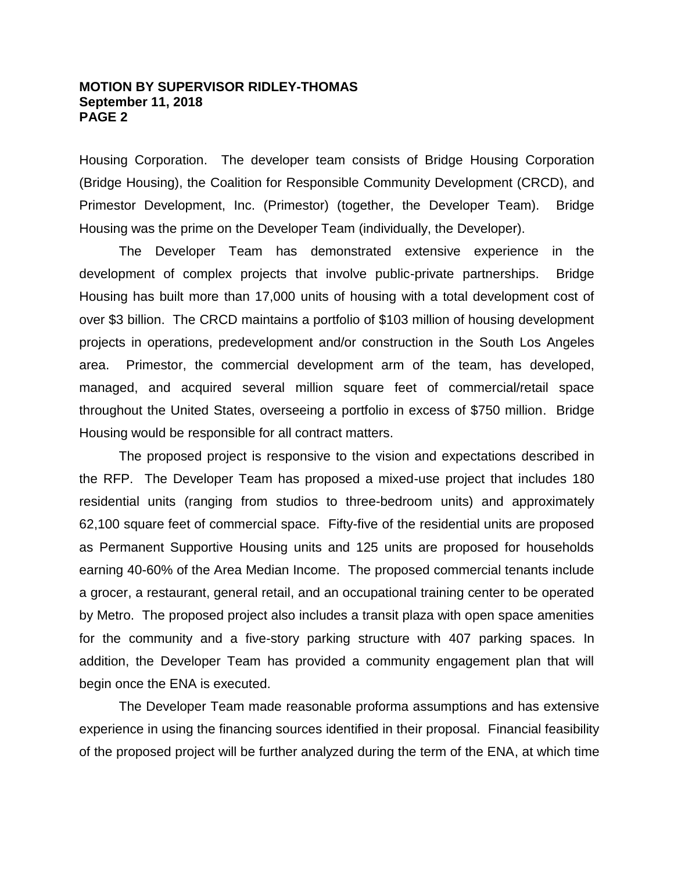#### **MOTION BY SUPERVISOR RIDLEY-THOMAS September 11, 2018 PAGE 2**

Housing Corporation. The developer team consists of Bridge Housing Corporation (Bridge Housing), the Coalition for Responsible Community Development (CRCD), and Primestor Development, Inc. (Primestor) (together, the Developer Team). Bridge Housing was the prime on the Developer Team (individually, the Developer).

The Developer Team has demonstrated extensive experience in the development of complex projects that involve public-private partnerships. Bridge Housing has built more than 17,000 units of housing with a total development cost of over \$3 billion. The CRCD maintains a portfolio of \$103 million of housing development projects in operations, predevelopment and/or construction in the South Los Angeles area. Primestor, the commercial development arm of the team, has developed, managed, and acquired several million square feet of commercial/retail space throughout the United States, overseeing a portfolio in excess of \$750 million. Bridge Housing would be responsible for all contract matters.

The proposed project is responsive to the vision and expectations described in the RFP. The Developer Team has proposed a mixed-use project that includes 180 residential units (ranging from studios to three-bedroom units) and approximately 62,100 square feet of commercial space. Fifty-five of the residential units are proposed as Permanent Supportive Housing units and 125 units are proposed for households earning 40-60% of the Area Median Income. The proposed commercial tenants include a grocer, a restaurant, general retail, and an occupational training center to be operated by Metro. The proposed project also includes a transit plaza with open space amenities for the community and a five-story parking structure with 407 parking spaces. In addition, the Developer Team has provided a community engagement plan that will begin once the ENA is executed.

The Developer Team made reasonable proforma assumptions and has extensive experience in using the financing sources identified in their proposal. Financial feasibility of the proposed project will be further analyzed during the term of the ENA, at which time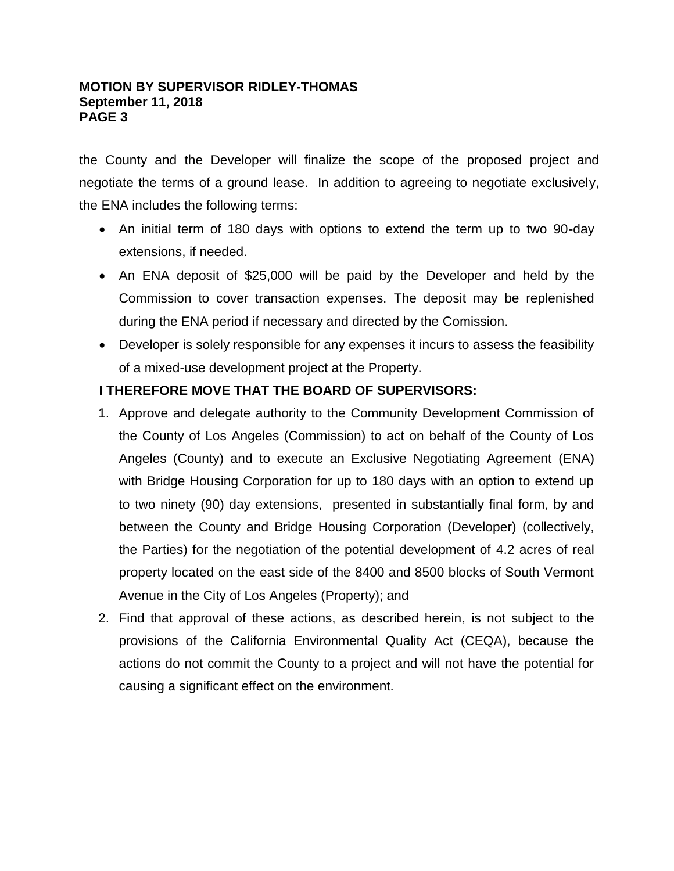### **MOTION BY SUPERVISOR RIDLEY-THOMAS September 11, 2018 PAGE 3**

the County and the Developer will finalize the scope of the proposed project and negotiate the terms of a ground lease. In addition to agreeing to negotiate exclusively, the ENA includes the following terms:

- An initial term of 180 days with options to extend the term up to two 90-day extensions, if needed.
- An ENA deposit of \$25,000 will be paid by the Developer and held by the Commission to cover transaction expenses. The deposit may be replenished during the ENA period if necessary and directed by the Comission.
- Developer is solely responsible for any expenses it incurs to assess the feasibility of a mixed-use development project at the Property.

# **I THEREFORE MOVE THAT THE BOARD OF SUPERVISORS:**

- 1. Approve and delegate authority to the Community Development Commission of the County of Los Angeles (Commission) to act on behalf of the County of Los Angeles (County) and to execute an Exclusive Negotiating Agreement (ENA) with Bridge Housing Corporation for up to 180 days with an option to extend up to two ninety (90) day extensions, presented in substantially final form, by and between the County and Bridge Housing Corporation (Developer) (collectively, the Parties) for the negotiation of the potential development of 4.2 acres of real property located on the east side of the 8400 and 8500 blocks of South Vermont Avenue in the City of Los Angeles (Property); and
- 2. Find that approval of these actions, as described herein, is not subject to the provisions of the California Environmental Quality Act (CEQA), because the actions do not commit the County to a project and will not have the potential for causing a significant effect on the environment.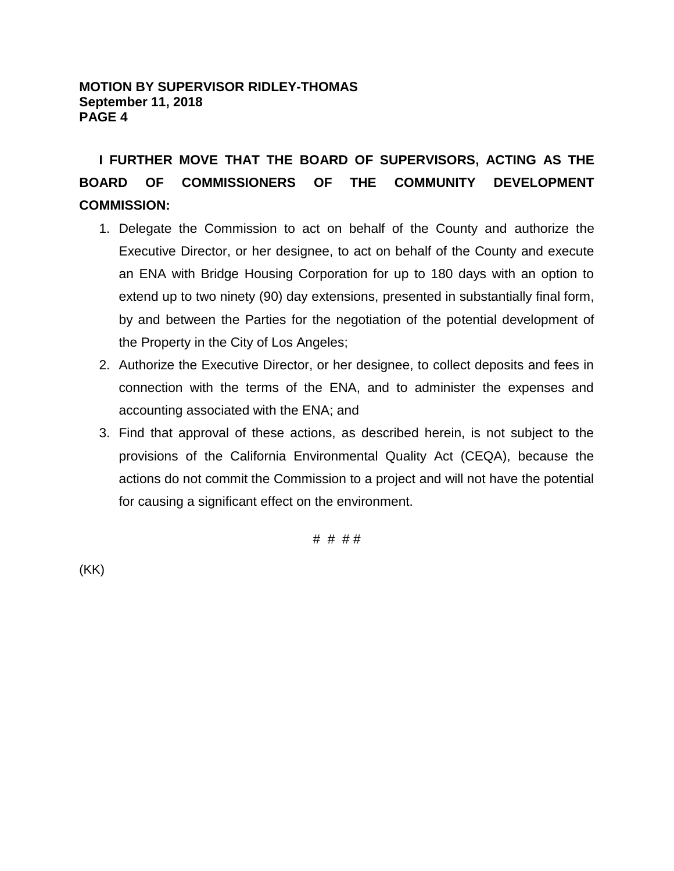# **MOTION BY SUPERVISOR RIDLEY-THOMAS September 11, 2018 PAGE 4**

**I FURTHER MOVE THAT THE BOARD OF SUPERVISORS, ACTING AS THE BOARD OF COMMISSIONERS OF THE COMMUNITY DEVELOPMENT COMMISSION:** 

- 1. Delegate the Commission to act on behalf of the County and authorize the Executive Director, or her designee, to act on behalf of the County and execute an ENA with Bridge Housing Corporation for up to 180 days with an option to extend up to two ninety (90) day extensions, presented in substantially final form, by and between the Parties for the negotiation of the potential development of the Property in the City of Los Angeles;
- 2. Authorize the Executive Director, or her designee, to collect deposits and fees in connection with the terms of the ENA, and to administer the expenses and accounting associated with the ENA; and
- 3. Find that approval of these actions, as described herein, is not subject to the provisions of the California Environmental Quality Act (CEQA), because the actions do not commit the Commission to a project and will not have the potential for causing a significant effect on the environment.

# # # #

(KK)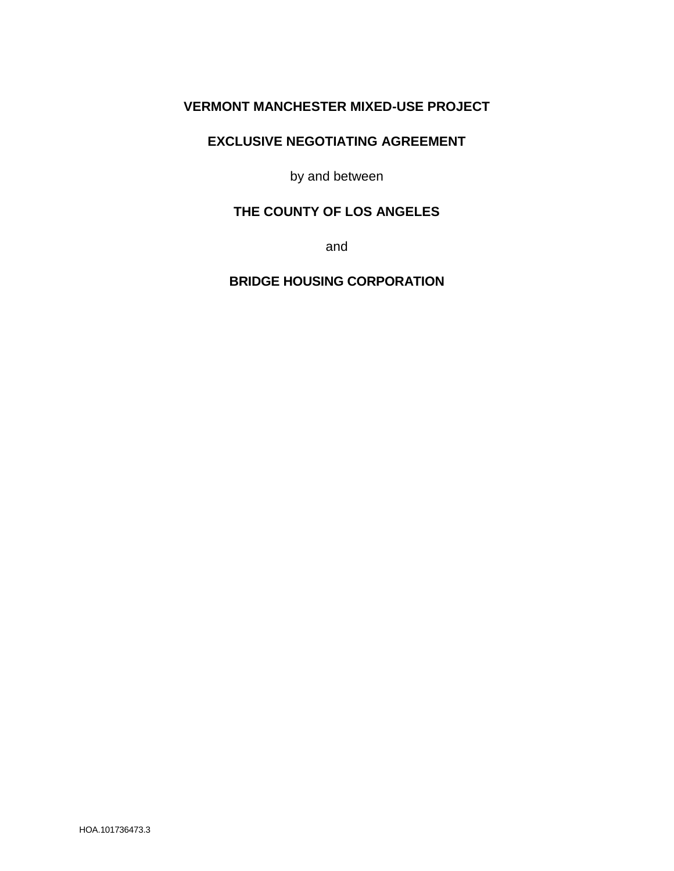# **VERMONT MANCHESTER MIXED-USE PROJECT**

## **EXCLUSIVE NEGOTIATING AGREEMENT**

by and between

# **THE COUNTY OF LOS ANGELES**

and

**BRIDGE HOUSING CORPORATION**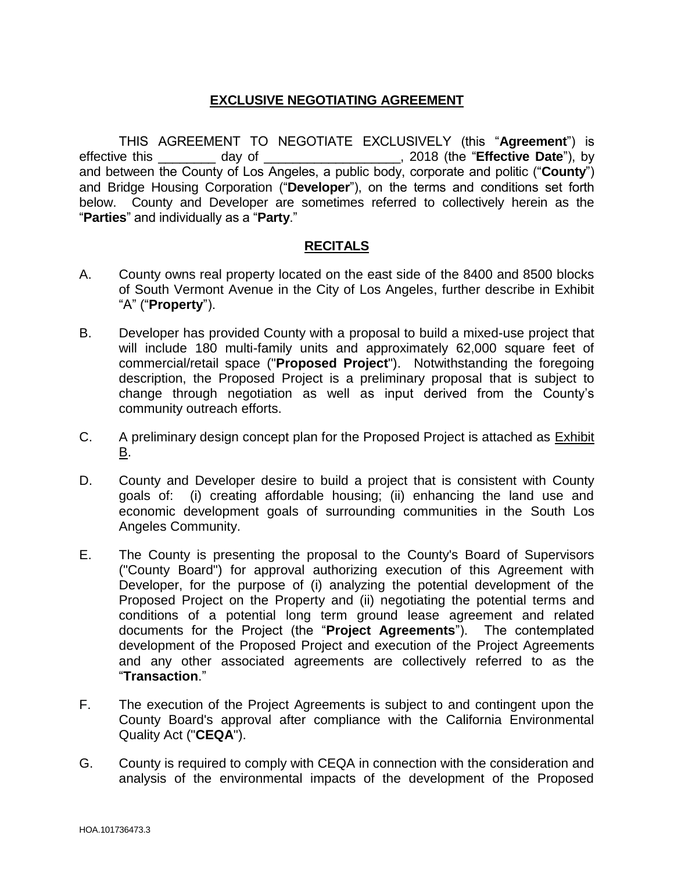# **EXCLUSIVE NEGOTIATING AGREEMENT**

THIS AGREEMENT TO NEGOTIATE EXCLUSIVELY (this "**Agreement**") is effective this \_\_\_\_\_\_\_\_ day of \_\_\_\_\_\_\_\_\_\_\_\_\_\_\_\_\_\_\_, 2018 (the "**Effective Date**"), by and between the County of Los Angeles, a public body, corporate and politic ("**County**") and Bridge Housing Corporation ("**Developer**"), on the terms and conditions set forth below. County and Developer are sometimes referred to collectively herein as the "**Parties**" and individually as a "**Party**."

### **RECITALS**

- A. County owns real property located on the east side of the 8400 and 8500 blocks of South Vermont Avenue in the City of Los Angeles, further describe in Exhibit "A" ("**Property**").
- B. Developer has provided County with a proposal to build a mixed-use project that will include 180 multi-family units and approximately 62,000 square feet of commercial/retail space ("**Proposed Project**"). Notwithstanding the foregoing description, the Proposed Project is a preliminary proposal that is subject to change through negotiation as well as input derived from the County's community outreach efforts.
- C. A preliminary design concept plan for the Proposed Project is attached as Exhibit B.
- D. County and Developer desire to build a project that is consistent with County goals of: (i) creating affordable housing; (ii) enhancing the land use and economic development goals of surrounding communities in the South Los Angeles Community.
- E. The County is presenting the proposal to the County's Board of Supervisors ("County Board") for approval authorizing execution of this Agreement with Developer, for the purpose of (i) analyzing the potential development of the Proposed Project on the Property and (ii) negotiating the potential terms and conditions of a potential long term ground lease agreement and related documents for the Project (the "**Project Agreements**"). The contemplated development of the Proposed Project and execution of the Project Agreements and any other associated agreements are collectively referred to as the "**Transaction**."
- F. The execution of the Project Agreements is subject to and contingent upon the County Board's approval after compliance with the California Environmental Quality Act ("**CEQA**").
- G. County is required to comply with CEQA in connection with the consideration and analysis of the environmental impacts of the development of the Proposed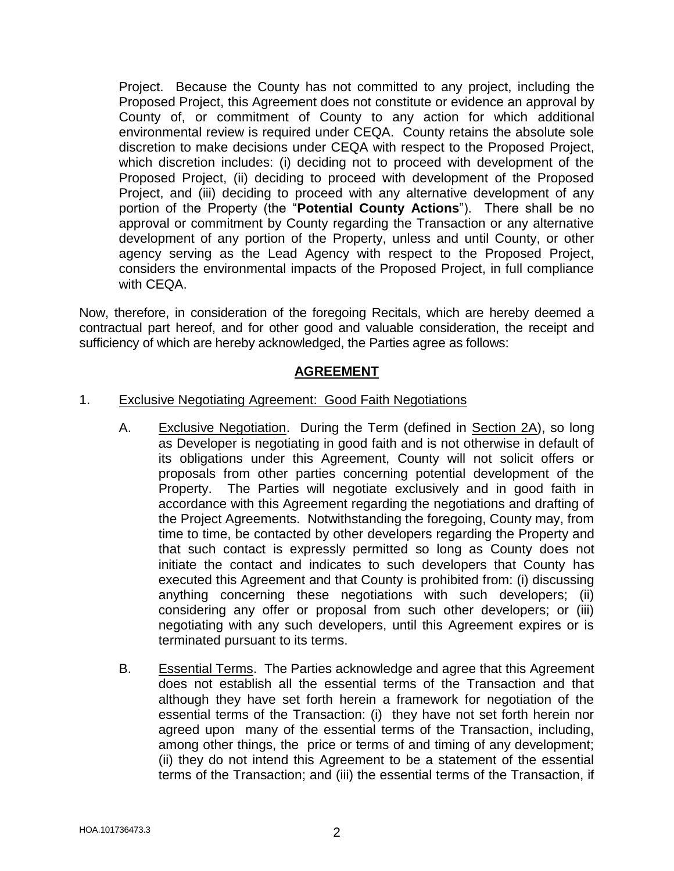Project. Because the County has not committed to any project, including the Proposed Project, this Agreement does not constitute or evidence an approval by County of, or commitment of County to any action for which additional environmental review is required under CEQA. County retains the absolute sole discretion to make decisions under CEQA with respect to the Proposed Project, which discretion includes: (i) deciding not to proceed with development of the Proposed Project, (ii) deciding to proceed with development of the Proposed Project, and (iii) deciding to proceed with any alternative development of any portion of the Property (the "**Potential County Actions**"). There shall be no approval or commitment by County regarding the Transaction or any alternative development of any portion of the Property, unless and until County, or other agency serving as the Lead Agency with respect to the Proposed Project, considers the environmental impacts of the Proposed Project, in full compliance with CEQA.

Now, therefore, in consideration of the foregoing Recitals, which are hereby deemed a contractual part hereof, and for other good and valuable consideration, the receipt and sufficiency of which are hereby acknowledged, the Parties agree as follows:

# **AGREEMENT**

## 1. Exclusive Negotiating Agreement: Good Faith Negotiations

- A. Exclusive Negotiation. During the Term (defined in Section 2A), so long as Developer is negotiating in good faith and is not otherwise in default of its obligations under this Agreement, County will not solicit offers or proposals from other parties concerning potential development of the Property. The Parties will negotiate exclusively and in good faith in accordance with this Agreement regarding the negotiations and drafting of the Project Agreements. Notwithstanding the foregoing, County may, from time to time, be contacted by other developers regarding the Property and that such contact is expressly permitted so long as County does not initiate the contact and indicates to such developers that County has executed this Agreement and that County is prohibited from: (i) discussing anything concerning these negotiations with such developers; (ii) considering any offer or proposal from such other developers; or (iii) negotiating with any such developers, until this Agreement expires or is terminated pursuant to its terms.
- B. Essential Terms. The Parties acknowledge and agree that this Agreement does not establish all the essential terms of the Transaction and that although they have set forth herein a framework for negotiation of the essential terms of the Transaction: (i) they have not set forth herein nor agreed upon many of the essential terms of the Transaction, including, among other things, the price or terms of and timing of any development; (ii) they do not intend this Agreement to be a statement of the essential terms of the Transaction; and (iii) the essential terms of the Transaction, if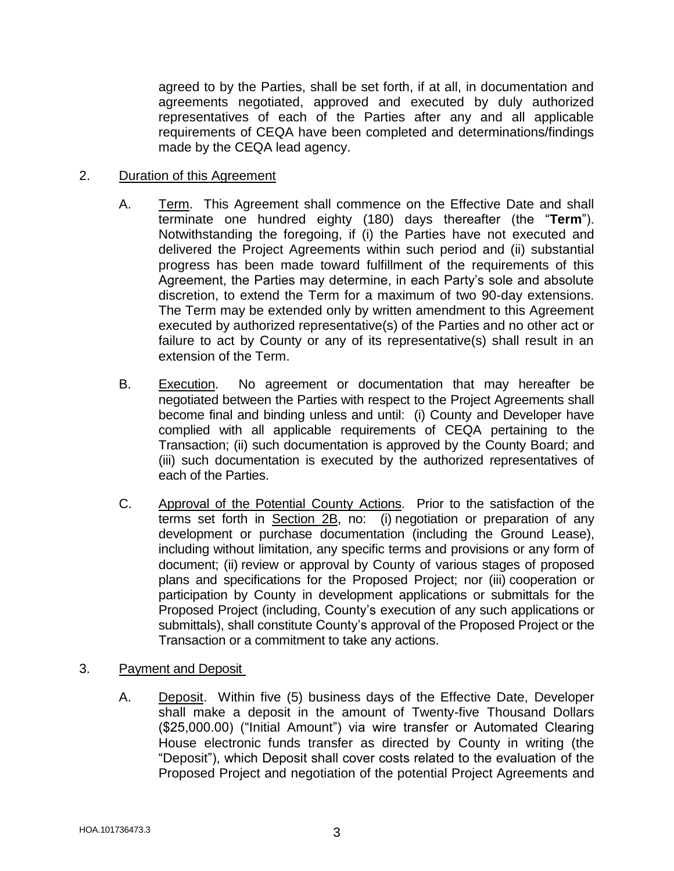agreed to by the Parties, shall be set forth, if at all, in documentation and agreements negotiated, approved and executed by duly authorized representatives of each of the Parties after any and all applicable requirements of CEQA have been completed and determinations/findings made by the CEQA lead agency.

## 2. Duration of this Agreement

- A. Term. This Agreement shall commence on the Effective Date and shall terminate one hundred eighty (180) days thereafter (the "**Term**"). Notwithstanding the foregoing, if (i) the Parties have not executed and delivered the Project Agreements within such period and (ii) substantial progress has been made toward fulfillment of the requirements of this Agreement, the Parties may determine, in each Party's sole and absolute discretion, to extend the Term for a maximum of two 90-day extensions. The Term may be extended only by written amendment to this Agreement executed by authorized representative(s) of the Parties and no other act or failure to act by County or any of its representative(s) shall result in an extension of the Term.
- B. Execution. No agreement or documentation that may hereafter be negotiated between the Parties with respect to the Project Agreements shall become final and binding unless and until: (i) County and Developer have complied with all applicable requirements of CEQA pertaining to the Transaction; (ii) such documentation is approved by the County Board; and (iii) such documentation is executed by the authorized representatives of each of the Parties.
- C. Approval of the Potential County Actions. Prior to the satisfaction of the terms set forth in Section 2B, no: (i) negotiation or preparation of any development or purchase documentation (including the Ground Lease), including without limitation, any specific terms and provisions or any form of document; (ii) review or approval by County of various stages of proposed plans and specifications for the Proposed Project; nor (iii) cooperation or participation by County in development applications or submittals for the Proposed Project (including, County's execution of any such applications or submittals), shall constitute County's approval of the Proposed Project or the Transaction or a commitment to take any actions.
- 3. Payment and Deposit
	- A. Deposit. Within five (5) business days of the Effective Date, Developer shall make a deposit in the amount of Twenty-five Thousand Dollars (\$25,000.00) ("Initial Amount") via wire transfer or Automated Clearing House electronic funds transfer as directed by County in writing (the "Deposit"), which Deposit shall cover costs related to the evaluation of the Proposed Project and negotiation of the potential Project Agreements and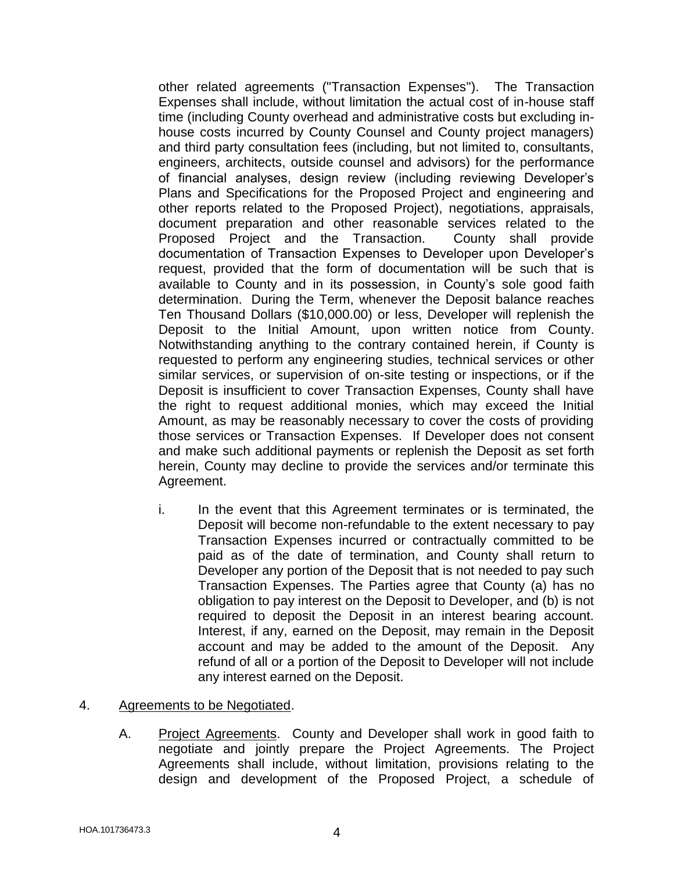other related agreements ("Transaction Expenses"). The Transaction Expenses shall include, without limitation the actual cost of in-house staff time (including County overhead and administrative costs but excluding inhouse costs incurred by County Counsel and County project managers) and third party consultation fees (including, but not limited to, consultants, engineers, architects, outside counsel and advisors) for the performance of financial analyses, design review (including reviewing Developer's Plans and Specifications for the Proposed Project and engineering and other reports related to the Proposed Project), negotiations, appraisals, document preparation and other reasonable services related to the Proposed Project and the Transaction. County shall provide documentation of Transaction Expenses to Developer upon Developer's request, provided that the form of documentation will be such that is available to County and in its possession, in County's sole good faith determination. During the Term, whenever the Deposit balance reaches Ten Thousand Dollars (\$10,000.00) or less, Developer will replenish the Deposit to the Initial Amount, upon written notice from County. Notwithstanding anything to the contrary contained herein, if County is requested to perform any engineering studies, technical services or other similar services, or supervision of on-site testing or inspections, or if the Deposit is insufficient to cover Transaction Expenses, County shall have the right to request additional monies, which may exceed the Initial Amount, as may be reasonably necessary to cover the costs of providing those services or Transaction Expenses. If Developer does not consent and make such additional payments or replenish the Deposit as set forth herein, County may decline to provide the services and/or terminate this Agreement.

i. In the event that this Agreement terminates or is terminated, the Deposit will become non-refundable to the extent necessary to pay Transaction Expenses incurred or contractually committed to be paid as of the date of termination, and County shall return to Developer any portion of the Deposit that is not needed to pay such Transaction Expenses. The Parties agree that County (a) has no obligation to pay interest on the Deposit to Developer, and (b) is not required to deposit the Deposit in an interest bearing account. Interest, if any, earned on the Deposit, may remain in the Deposit account and may be added to the amount of the Deposit. Any refund of all or a portion of the Deposit to Developer will not include any interest earned on the Deposit.

#### 4. Agreements to be Negotiated.

A. Project Agreements. County and Developer shall work in good faith to negotiate and jointly prepare the Project Agreements. The Project Agreements shall include, without limitation, provisions relating to the design and development of the Proposed Project, a schedule of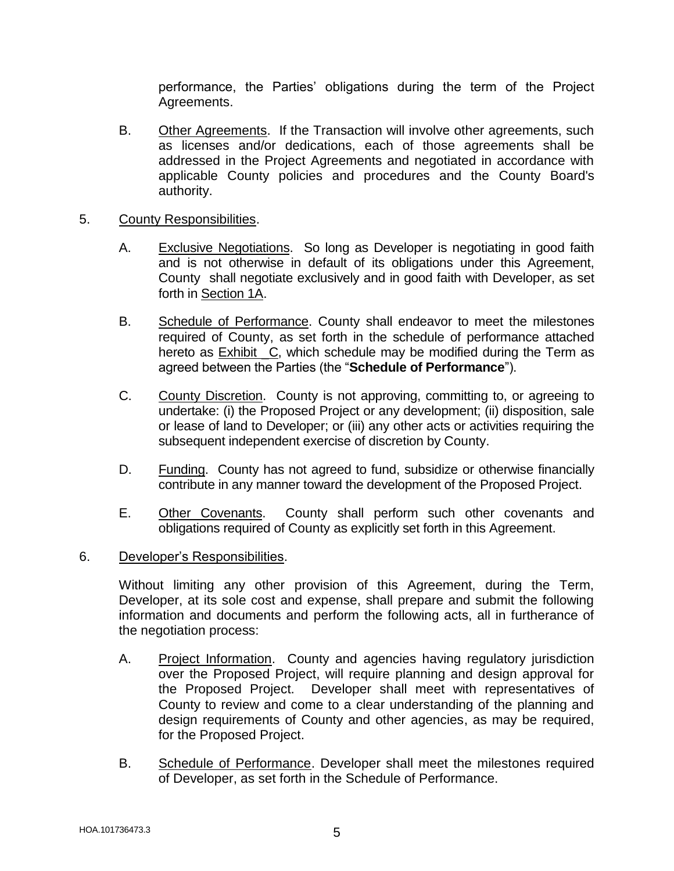performance, the Parties' obligations during the term of the Project Agreements.

B. Other Agreements. If the Transaction will involve other agreements, such as licenses and/or dedications, each of those agreements shall be addressed in the Project Agreements and negotiated in accordance with applicable County policies and procedures and the County Board's authority.

## 5. County Responsibilities.

- A. Exclusive Negotiations. So long as Developer is negotiating in good faith and is not otherwise in default of its obligations under this Agreement, County shall negotiate exclusively and in good faith with Developer, as set forth in Section 1A.
- B. Schedule of Performance. County shall endeavor to meet the milestones required of County, as set forth in the schedule of performance attached hereto as Exhibit C, which schedule may be modified during the Term as agreed between the Parties (the "**Schedule of Performance**").
- C. County Discretion. County is not approving, committing to, or agreeing to undertake: (i) the Proposed Project or any development; (ii) disposition, sale or lease of land to Developer; or (iii) any other acts or activities requiring the subsequent independent exercise of discretion by County.
- D. Funding. County has not agreed to fund, subsidize or otherwise financially contribute in any manner toward the development of the Proposed Project.
- E. Other Covenants. County shall perform such other covenants and obligations required of County as explicitly set forth in this Agreement.

#### 6. Developer's Responsibilities.

Without limiting any other provision of this Agreement, during the Term, Developer, at its sole cost and expense, shall prepare and submit the following information and documents and perform the following acts, all in furtherance of the negotiation process:

- A. Project Information. County and agencies having regulatory jurisdiction over the Proposed Project, will require planning and design approval for the Proposed Project. Developer shall meet with representatives of County to review and come to a clear understanding of the planning and design requirements of County and other agencies, as may be required, for the Proposed Project.
- B. Schedule of Performance. Developer shall meet the milestones required of Developer, as set forth in the Schedule of Performance.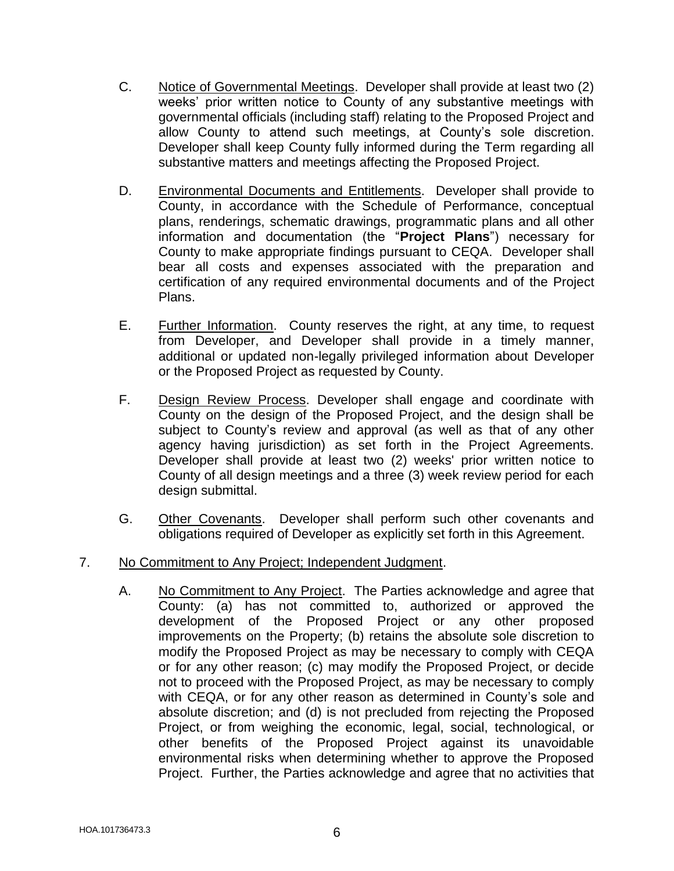- C. Notice of Governmental Meetings. Developer shall provide at least two (2) weeks' prior written notice to County of any substantive meetings with governmental officials (including staff) relating to the Proposed Project and allow County to attend such meetings, at County's sole discretion. Developer shall keep County fully informed during the Term regarding all substantive matters and meetings affecting the Proposed Project.
- D. Environmental Documents and Entitlements. Developer shall provide to County, in accordance with the Schedule of Performance, conceptual plans, renderings, schematic drawings, programmatic plans and all other information and documentation (the "**Project Plans**") necessary for County to make appropriate findings pursuant to CEQA. Developer shall bear all costs and expenses associated with the preparation and certification of any required environmental documents and of the Project Plans.
- E. Further Information. County reserves the right, at any time, to request from Developer, and Developer shall provide in a timely manner, additional or updated non-legally privileged information about Developer or the Proposed Project as requested by County.
- F. Design Review Process. Developer shall engage and coordinate with County on the design of the Proposed Project, and the design shall be subject to County's review and approval (as well as that of any other agency having jurisdiction) as set forth in the Project Agreements. Developer shall provide at least two (2) weeks' prior written notice to County of all design meetings and a three (3) week review period for each design submittal.
- G. Other Covenants. Developer shall perform such other covenants and obligations required of Developer as explicitly set forth in this Agreement.
- 7. No Commitment to Any Project; Independent Judgment.
	- A. No Commitment to Any Project. The Parties acknowledge and agree that County: (a) has not committed to, authorized or approved the development of the Proposed Project or any other proposed improvements on the Property; (b) retains the absolute sole discretion to modify the Proposed Project as may be necessary to comply with CEQA or for any other reason; (c) may modify the Proposed Project, or decide not to proceed with the Proposed Project, as may be necessary to comply with CEQA, or for any other reason as determined in County's sole and absolute discretion; and (d) is not precluded from rejecting the Proposed Project, or from weighing the economic, legal, social, technological, or other benefits of the Proposed Project against its unavoidable environmental risks when determining whether to approve the Proposed Project. Further, the Parties acknowledge and agree that no activities that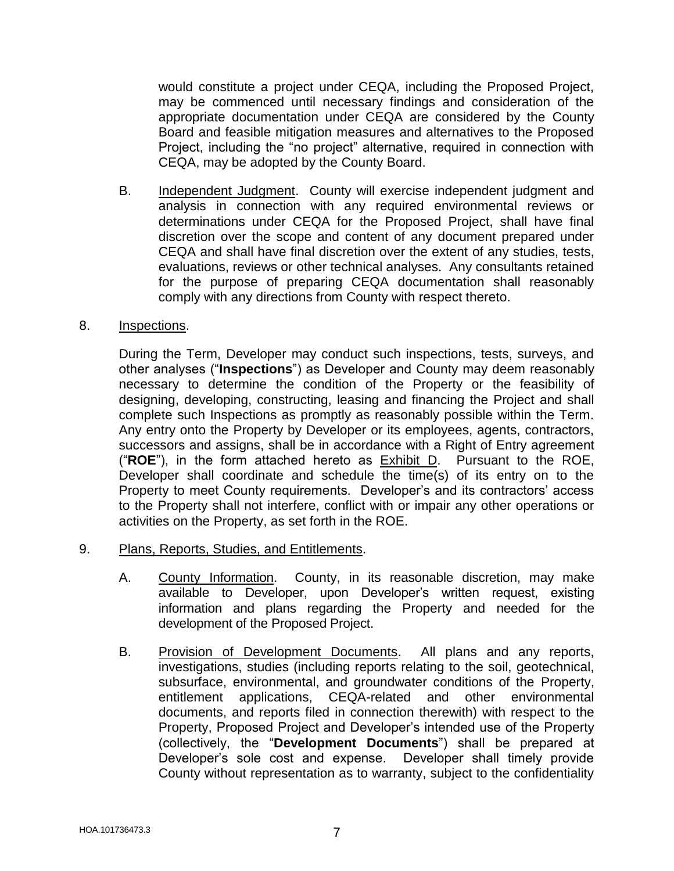would constitute a project under CEQA, including the Proposed Project, may be commenced until necessary findings and consideration of the appropriate documentation under CEQA are considered by the County Board and feasible mitigation measures and alternatives to the Proposed Project, including the "no project" alternative, required in connection with CEQA, may be adopted by the County Board.

B. Independent Judgment. County will exercise independent judgment and analysis in connection with any required environmental reviews or determinations under CEQA for the Proposed Project, shall have final discretion over the scope and content of any document prepared under CEQA and shall have final discretion over the extent of any studies, tests, evaluations, reviews or other technical analyses. Any consultants retained for the purpose of preparing CEQA documentation shall reasonably comply with any directions from County with respect thereto.

### 8. Inspections.

During the Term, Developer may conduct such inspections, tests, surveys, and other analyses ("**Inspections**") as Developer and County may deem reasonably necessary to determine the condition of the Property or the feasibility of designing, developing, constructing, leasing and financing the Project and shall complete such Inspections as promptly as reasonably possible within the Term. Any entry onto the Property by Developer or its employees, agents, contractors, successors and assigns, shall be in accordance with a Right of Entry agreement ("**ROE**"), in the form attached hereto as Exhibit D. Pursuant to the ROE, Developer shall coordinate and schedule the time(s) of its entry on to the Property to meet County requirements. Developer's and its contractors' access to the Property shall not interfere, conflict with or impair any other operations or activities on the Property, as set forth in the ROE.

- 9. Plans, Reports, Studies, and Entitlements.
	- A. County Information. County, in its reasonable discretion, may make available to Developer, upon Developer's written request, existing information and plans regarding the Property and needed for the development of the Proposed Project.
	- B. Provision of Development Documents. All plans and any reports, investigations, studies (including reports relating to the soil, geotechnical, subsurface, environmental, and groundwater conditions of the Property, entitlement applications, CEQA-related and other environmental documents, and reports filed in connection therewith) with respect to the Property, Proposed Project and Developer's intended use of the Property (collectively, the "**Development Documents**") shall be prepared at Developer's sole cost and expense. Developer shall timely provide County without representation as to warranty, subject to the confidentiality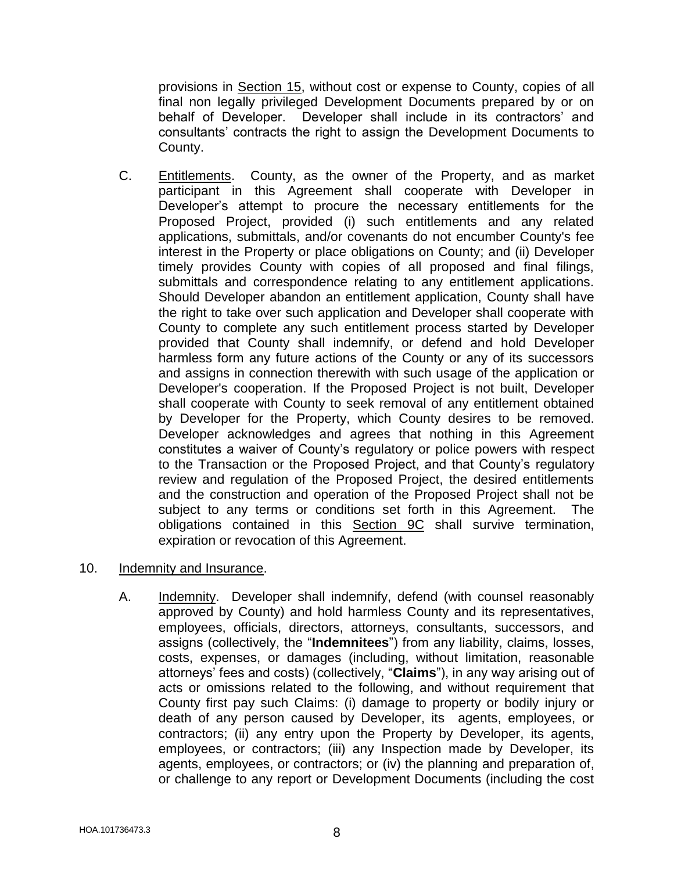provisions in Section 15, without cost or expense to County, copies of all final non legally privileged Development Documents prepared by or on behalf of Developer. Developer shall include in its contractors' and consultants' contracts the right to assign the Development Documents to County.

C. Entitlements. County, as the owner of the Property, and as market participant in this Agreement shall cooperate with Developer in Developer's attempt to procure the necessary entitlements for the Proposed Project, provided (i) such entitlements and any related applications, submittals, and/or covenants do not encumber County's fee interest in the Property or place obligations on County; and (ii) Developer timely provides County with copies of all proposed and final filings, submittals and correspondence relating to any entitlement applications. Should Developer abandon an entitlement application, County shall have the right to take over such application and Developer shall cooperate with County to complete any such entitlement process started by Developer provided that County shall indemnify, or defend and hold Developer harmless form any future actions of the County or any of its successors and assigns in connection therewith with such usage of the application or Developer's cooperation. If the Proposed Project is not built, Developer shall cooperate with County to seek removal of any entitlement obtained by Developer for the Property, which County desires to be removed. Developer acknowledges and agrees that nothing in this Agreement constitutes a waiver of County's regulatory or police powers with respect to the Transaction or the Proposed Project, and that County's regulatory review and regulation of the Proposed Project, the desired entitlements and the construction and operation of the Proposed Project shall not be subject to any terms or conditions set forth in this Agreement. The obligations contained in this **Section 9C** shall survive termination, expiration or revocation of this Agreement.

## 10. Indemnity and Insurance.

A. Indemnity. Developer shall indemnify, defend (with counsel reasonably approved by County) and hold harmless County and its representatives, employees, officials, directors, attorneys, consultants, successors, and assigns (collectively, the "**Indemnitees**") from any liability, claims, losses, costs, expenses, or damages (including, without limitation, reasonable attorneys' fees and costs) (collectively, "**Claims**"), in any way arising out of acts or omissions related to the following, and without requirement that County first pay such Claims: (i) damage to property or bodily injury or death of any person caused by Developer, its agents, employees, or contractors; (ii) any entry upon the Property by Developer, its agents, employees, or contractors; (iii) any Inspection made by Developer, its agents, employees, or contractors; or (iv) the planning and preparation of, or challenge to any report or Development Documents (including the cost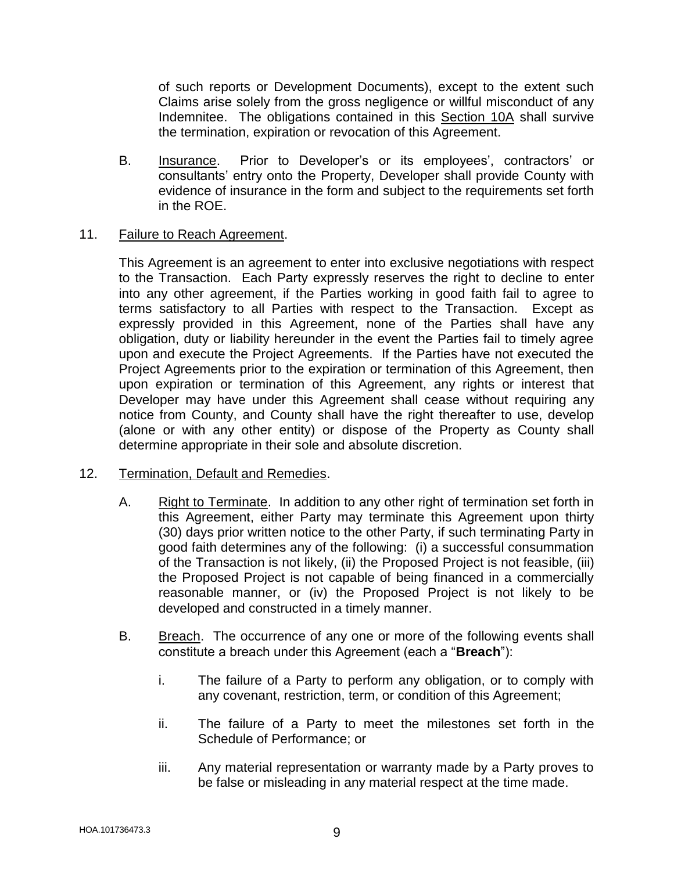of such reports or Development Documents), except to the extent such Claims arise solely from the gross negligence or willful misconduct of any Indemnitee. The obligations contained in this Section 10A shall survive the termination, expiration or revocation of this Agreement.

- B. Insurance. Prior to Developer's or its employees', contractors' or consultants' entry onto the Property, Developer shall provide County with evidence of insurance in the form and subject to the requirements set forth in the ROE.
- 11. Failure to Reach Agreement.

This Agreement is an agreement to enter into exclusive negotiations with respect to the Transaction. Each Party expressly reserves the right to decline to enter into any other agreement, if the Parties working in good faith fail to agree to terms satisfactory to all Parties with respect to the Transaction. Except as expressly provided in this Agreement, none of the Parties shall have any obligation, duty or liability hereunder in the event the Parties fail to timely agree upon and execute the Project Agreements. If the Parties have not executed the Project Agreements prior to the expiration or termination of this Agreement, then upon expiration or termination of this Agreement, any rights or interest that Developer may have under this Agreement shall cease without requiring any notice from County, and County shall have the right thereafter to use, develop (alone or with any other entity) or dispose of the Property as County shall determine appropriate in their sole and absolute discretion.

## 12. Termination, Default and Remedies.

- A. Right to Terminate. In addition to any other right of termination set forth in this Agreement, either Party may terminate this Agreement upon thirty (30) days prior written notice to the other Party, if such terminating Party in good faith determines any of the following: (i) a successful consummation of the Transaction is not likely, (ii) the Proposed Project is not feasible, (iii) the Proposed Project is not capable of being financed in a commercially reasonable manner, or (iv) the Proposed Project is not likely to be developed and constructed in a timely manner.
- B. Breach. The occurrence of any one or more of the following events shall constitute a breach under this Agreement (each a "**Breach**"):
	- i. The failure of a Party to perform any obligation, or to comply with any covenant, restriction, term, or condition of this Agreement;
	- ii. The failure of a Party to meet the milestones set forth in the Schedule of Performance; or
	- iii. Any material representation or warranty made by a Party proves to be false or misleading in any material respect at the time made.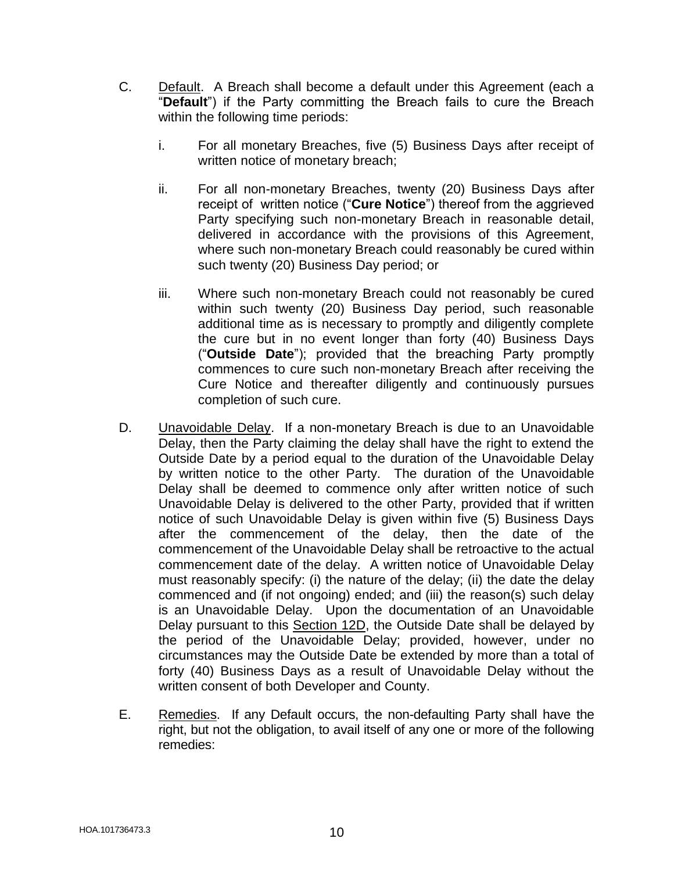- C. Default. A Breach shall become a default under this Agreement (each a "**Default**") if the Party committing the Breach fails to cure the Breach within the following time periods:
	- i. For all monetary Breaches, five (5) Business Days after receipt of written notice of monetary breach;
	- ii. For all non-monetary Breaches, twenty (20) Business Days after receipt of written notice ("**Cure Notice**") thereof from the aggrieved Party specifying such non-monetary Breach in reasonable detail, delivered in accordance with the provisions of this Agreement, where such non-monetary Breach could reasonably be cured within such twenty (20) Business Day period; or
	- iii. Where such non-monetary Breach could not reasonably be cured within such twenty (20) Business Day period, such reasonable additional time as is necessary to promptly and diligently complete the cure but in no event longer than forty (40) Business Days ("**Outside Date**"); provided that the breaching Party promptly commences to cure such non-monetary Breach after receiving the Cure Notice and thereafter diligently and continuously pursues completion of such cure.
- D. Unavoidable Delay. If a non-monetary Breach is due to an Unavoidable Delay, then the Party claiming the delay shall have the right to extend the Outside Date by a period equal to the duration of the Unavoidable Delay by written notice to the other Party. The duration of the Unavoidable Delay shall be deemed to commence only after written notice of such Unavoidable Delay is delivered to the other Party, provided that if written notice of such Unavoidable Delay is given within five (5) Business Days after the commencement of the delay, then the date of the commencement of the Unavoidable Delay shall be retroactive to the actual commencement date of the delay. A written notice of Unavoidable Delay must reasonably specify: (i) the nature of the delay; (ii) the date the delay commenced and (if not ongoing) ended; and (iii) the reason(s) such delay is an Unavoidable Delay. Upon the documentation of an Unavoidable Delay pursuant to this Section 12D, the Outside Date shall be delayed by the period of the Unavoidable Delay; provided, however, under no circumstances may the Outside Date be extended by more than a total of forty (40) Business Days as a result of Unavoidable Delay without the written consent of both Developer and County.
- E. Remedies. If any Default occurs, the non-defaulting Party shall have the right, but not the obligation, to avail itself of any one or more of the following remedies: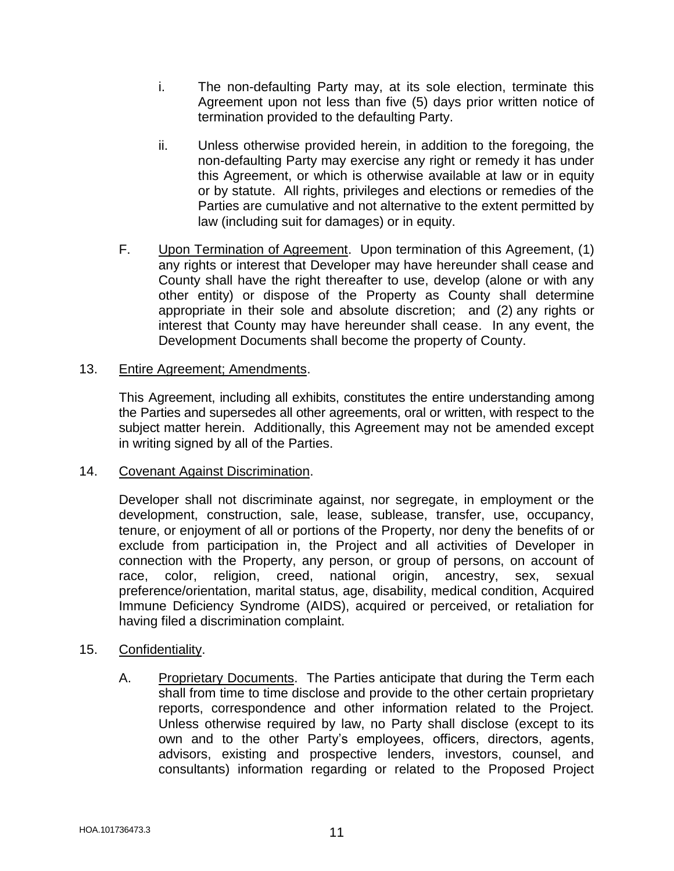- i. The non-defaulting Party may, at its sole election, terminate this Agreement upon not less than five (5) days prior written notice of termination provided to the defaulting Party.
- ii. Unless otherwise provided herein, in addition to the foregoing, the non-defaulting Party may exercise any right or remedy it has under this Agreement, or which is otherwise available at law or in equity or by statute. All rights, privileges and elections or remedies of the Parties are cumulative and not alternative to the extent permitted by law (including suit for damages) or in equity.
- F. Upon Termination of Agreement. Upon termination of this Agreement, (1) any rights or interest that Developer may have hereunder shall cease and County shall have the right thereafter to use, develop (alone or with any other entity) or dispose of the Property as County shall determine appropriate in their sole and absolute discretion; and (2) any rights or interest that County may have hereunder shall cease. In any event, the Development Documents shall become the property of County.

## 13. Entire Agreement; Amendments.

This Agreement, including all exhibits, constitutes the entire understanding among the Parties and supersedes all other agreements, oral or written, with respect to the subject matter herein. Additionally, this Agreement may not be amended except in writing signed by all of the Parties.

## 14. Covenant Against Discrimination.

Developer shall not discriminate against, nor segregate, in employment or the development, construction, sale, lease, sublease, transfer, use, occupancy, tenure, or enjoyment of all or portions of the Property, nor deny the benefits of or exclude from participation in, the Project and all activities of Developer in connection with the Property, any person, or group of persons, on account of race, color, religion, creed, national origin, ancestry, sex, sexual preference/orientation, marital status, age, disability, medical condition, Acquired Immune Deficiency Syndrome (AIDS), acquired or perceived, or retaliation for having filed a discrimination complaint.

## 15. Confidentiality.

A. Proprietary Documents. The Parties anticipate that during the Term each shall from time to time disclose and provide to the other certain proprietary reports, correspondence and other information related to the Project. Unless otherwise required by law, no Party shall disclose (except to its own and to the other Party's employees, officers, directors, agents, advisors, existing and prospective lenders, investors, counsel, and consultants) information regarding or related to the Proposed Project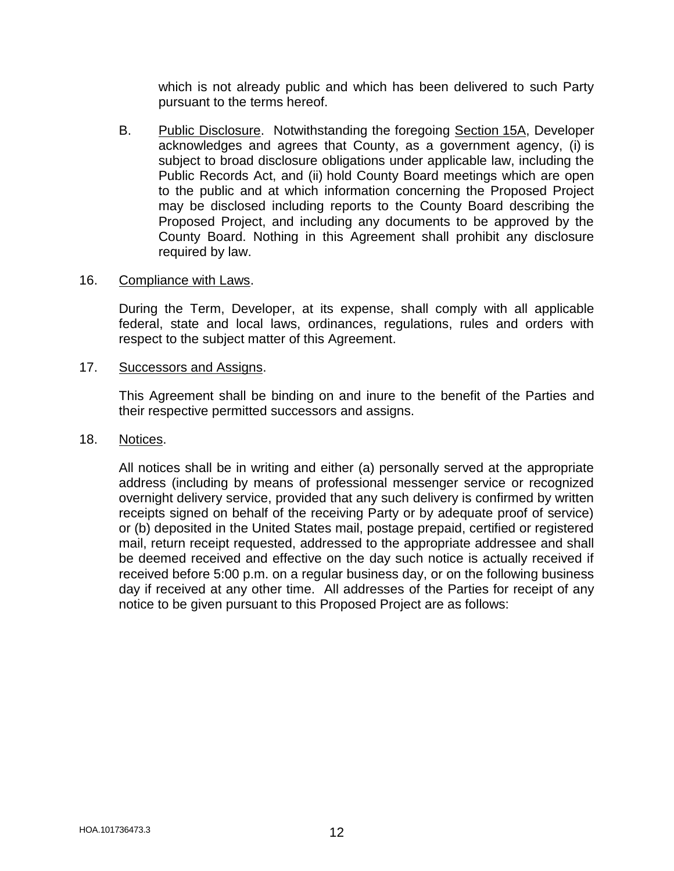which is not already public and which has been delivered to such Party pursuant to the terms hereof.

B. Public Disclosure. Notwithstanding the foregoing Section 15A, Developer acknowledges and agrees that County, as a government agency, (i) is subject to broad disclosure obligations under applicable law, including the Public Records Act, and (ii) hold County Board meetings which are open to the public and at which information concerning the Proposed Project may be disclosed including reports to the County Board describing the Proposed Project, and including any documents to be approved by the County Board. Nothing in this Agreement shall prohibit any disclosure required by law.

#### 16. Compliance with Laws.

During the Term, Developer, at its expense, shall comply with all applicable federal, state and local laws, ordinances, regulations, rules and orders with respect to the subject matter of this Agreement.

#### 17. Successors and Assigns.

This Agreement shall be binding on and inure to the benefit of the Parties and their respective permitted successors and assigns.

#### 18. Notices.

All notices shall be in writing and either (a) personally served at the appropriate address (including by means of professional messenger service or recognized overnight delivery service, provided that any such delivery is confirmed by written receipts signed on behalf of the receiving Party or by adequate proof of service) or (b) deposited in the United States mail, postage prepaid, certified or registered mail, return receipt requested, addressed to the appropriate addressee and shall be deemed received and effective on the day such notice is actually received if received before 5:00 p.m. on a regular business day, or on the following business day if received at any other time. All addresses of the Parties for receipt of any notice to be given pursuant to this Proposed Project are as follows: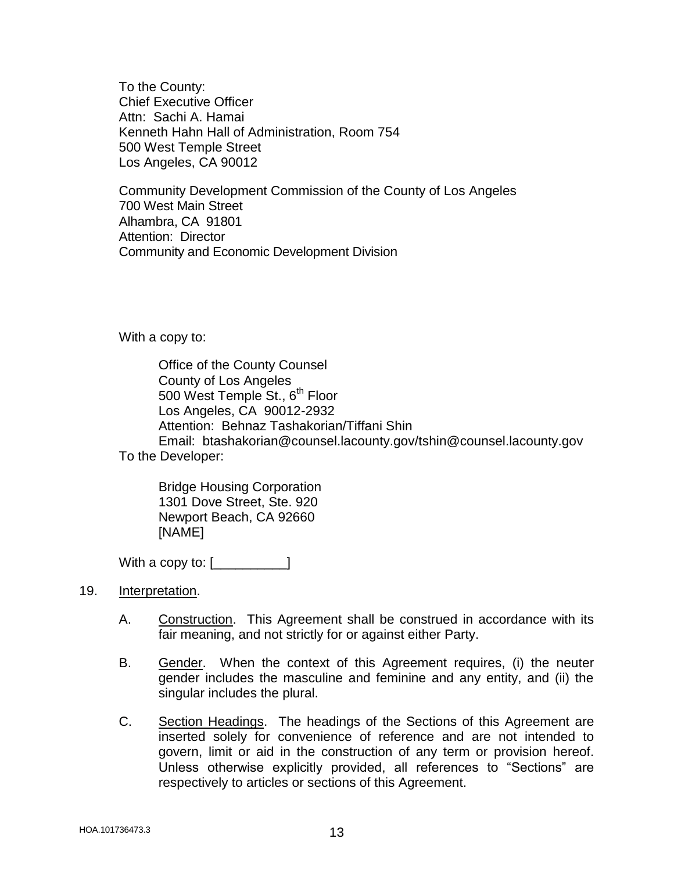To the County: Chief Executive Officer Attn: Sachi A. Hamai Kenneth Hahn Hall of Administration, Room 754 500 West Temple Street Los Angeles, CA 90012

Community Development Commission of the County of Los Angeles 700 West Main Street Alhambra, CA 91801 Attention: Director Community and Economic Development Division

With a copy to:

Office of the County Counsel County of Los Angeles 500 West Temple St., 6<sup>th</sup> Floor Los Angeles, CA 90012-2932 Attention: Behnaz Tashakorian/Tiffani Shin Email: btashakorian@counsel.lacounty.gov/tshin@counsel.lacounty.gov

To the Developer:

Bridge Housing Corporation 1301 Dove Street, Ste. 920 Newport Beach, CA 92660 [NAME]

With a copy to:  $[$ 

- 19. Interpretation.
	- A. Construction. This Agreement shall be construed in accordance with its fair meaning, and not strictly for or against either Party.
	- B. Gender. When the context of this Agreement requires, (i) the neuter gender includes the masculine and feminine and any entity, and (ii) the singular includes the plural.
	- C. Section Headings. The headings of the Sections of this Agreement are inserted solely for convenience of reference and are not intended to govern, limit or aid in the construction of any term or provision hereof. Unless otherwise explicitly provided, all references to "Sections" are respectively to articles or sections of this Agreement.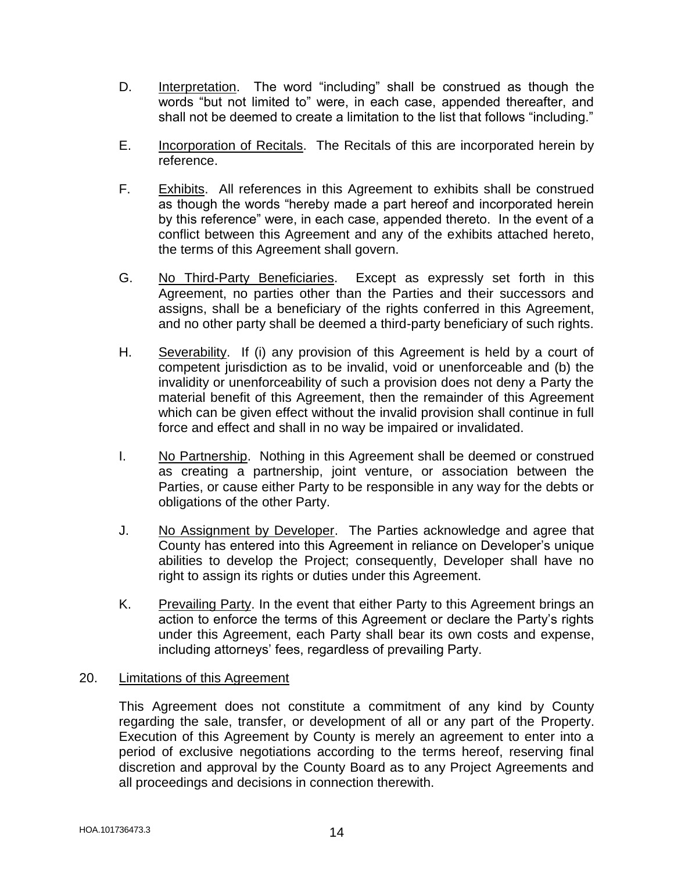- D. Interpretation. The word "including" shall be construed as though the words "but not limited to" were, in each case, appended thereafter, and shall not be deemed to create a limitation to the list that follows "including."
- E. Incorporation of Recitals. The Recitals of this are incorporated herein by reference.
- F. Exhibits. All references in this Agreement to exhibits shall be construed as though the words "hereby made a part hereof and incorporated herein by this reference" were, in each case, appended thereto. In the event of a conflict between this Agreement and any of the exhibits attached hereto, the terms of this Agreement shall govern.
- G. No Third-Party Beneficiaries. Except as expressly set forth in this Agreement, no parties other than the Parties and their successors and assigns, shall be a beneficiary of the rights conferred in this Agreement, and no other party shall be deemed a third-party beneficiary of such rights.
- H. Severability. If (i) any provision of this Agreement is held by a court of competent jurisdiction as to be invalid, void or unenforceable and (b) the invalidity or unenforceability of such a provision does not deny a Party the material benefit of this Agreement, then the remainder of this Agreement which can be given effect without the invalid provision shall continue in full force and effect and shall in no way be impaired or invalidated.
- I. No Partnership. Nothing in this Agreement shall be deemed or construed as creating a partnership, joint venture, or association between the Parties, or cause either Party to be responsible in any way for the debts or obligations of the other Party.
- J. No Assignment by Developer. The Parties acknowledge and agree that County has entered into this Agreement in reliance on Developer's unique abilities to develop the Project; consequently, Developer shall have no right to assign its rights or duties under this Agreement.
- K. Prevailing Party. In the event that either Party to this Agreement brings an action to enforce the terms of this Agreement or declare the Party's rights under this Agreement, each Party shall bear its own costs and expense, including attorneys' fees, regardless of prevailing Party.

## 20. Limitations of this Agreement

This Agreement does not constitute a commitment of any kind by County regarding the sale, transfer, or development of all or any part of the Property. Execution of this Agreement by County is merely an agreement to enter into a period of exclusive negotiations according to the terms hereof, reserving final discretion and approval by the County Board as to any Project Agreements and all proceedings and decisions in connection therewith.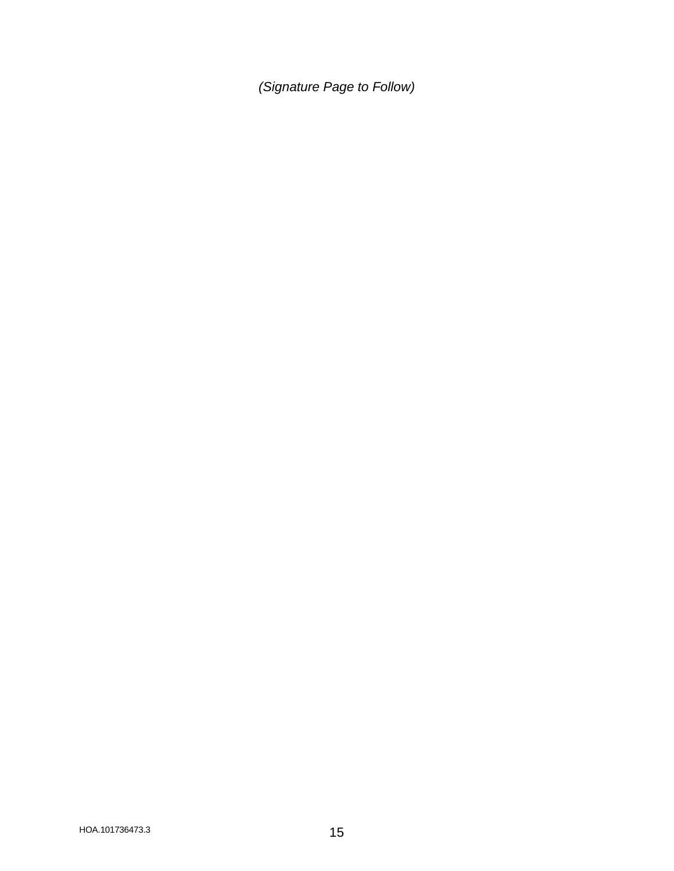*(Signature Page to Follow)*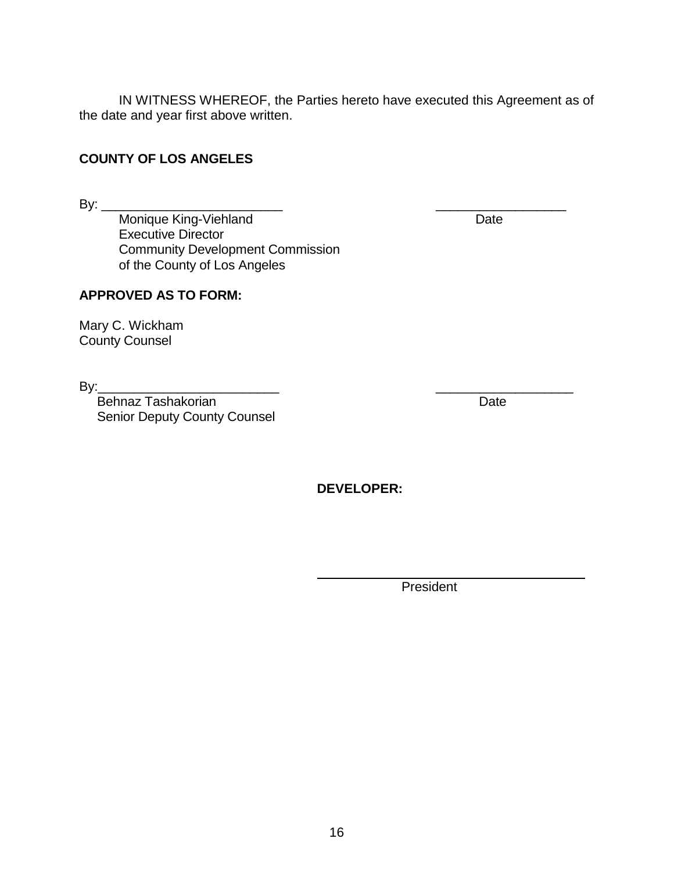IN WITNESS WHEREOF, the Parties hereto have executed this Agreement as of the date and year first above written.

# **COUNTY OF LOS ANGELES**

By: \_\_\_\_\_\_\_\_\_\_\_\_\_\_\_\_\_\_\_\_\_\_\_\_\_ \_\_\_\_\_\_\_\_\_\_\_\_\_\_\_\_\_\_

Monique King-Viehland **Date** Date Executive Director Community Development Commission of the County of Los Angeles

## **APPROVED AS TO FORM:**

Mary C. Wickham County Counsel

 $\mathsf{By:}\_$ 

Behnaz Tashakorian Date Senior Deputy County Counsel

**DEVELOPER:**

President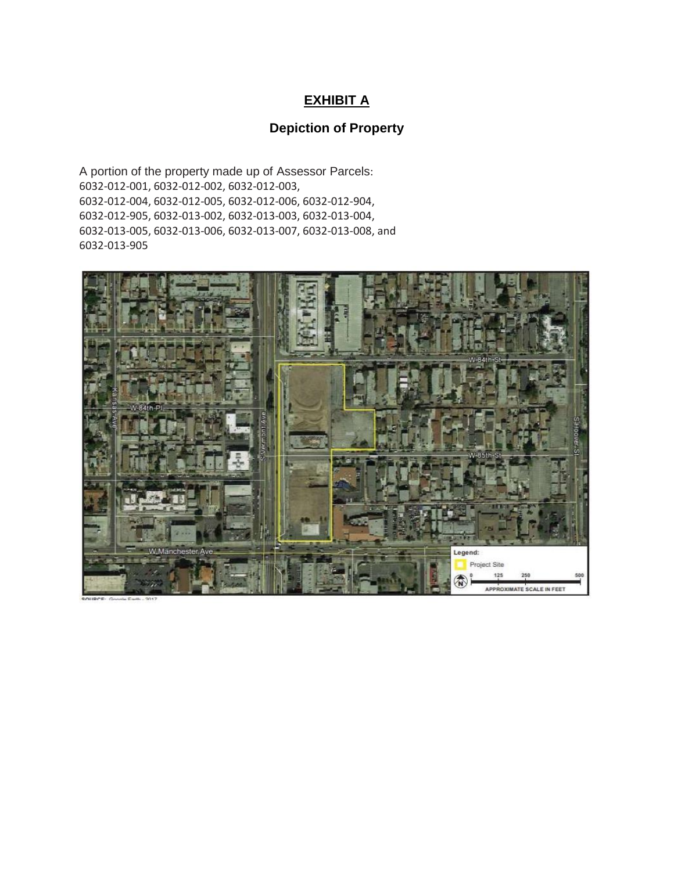# **EXHIBIT A**

# **Depiction of Property**

A portion of the property made up of Assessor Parcels: 6032-012-001, 6032-012-002, 6032-012-003, 6032-012-004, 6032-012-005, 6032-012-006, 6032-012-904, 6032-012-905, 6032-013-002, 6032-013-003, 6032-013-004, 6032-013-005, 6032-013-006, 6032-013-007, 6032-013-008, and 6032-013-905

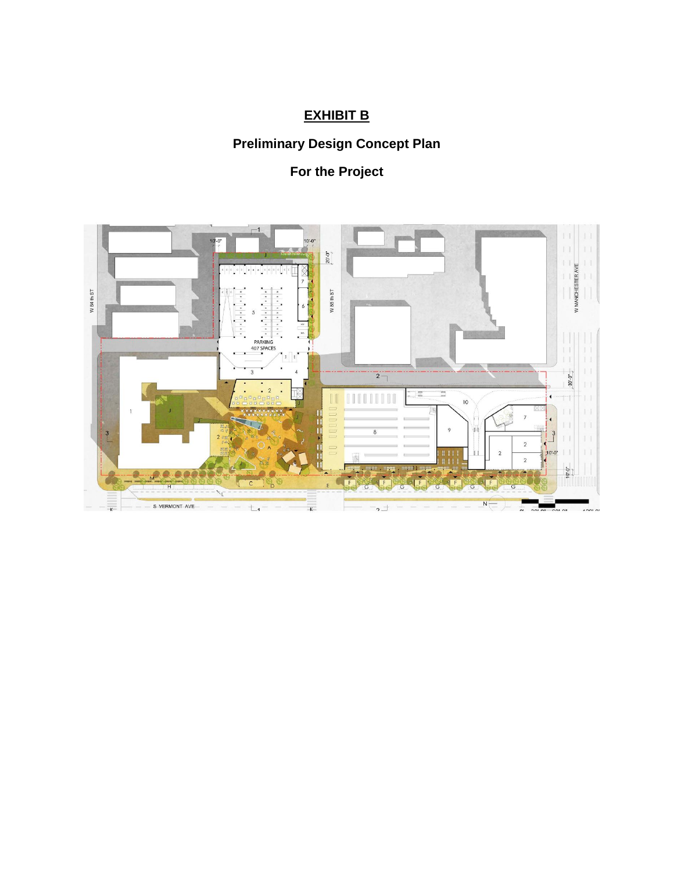# **EXHIBIT B**

# **Preliminary Design Concept Plan**

# **For the Project**

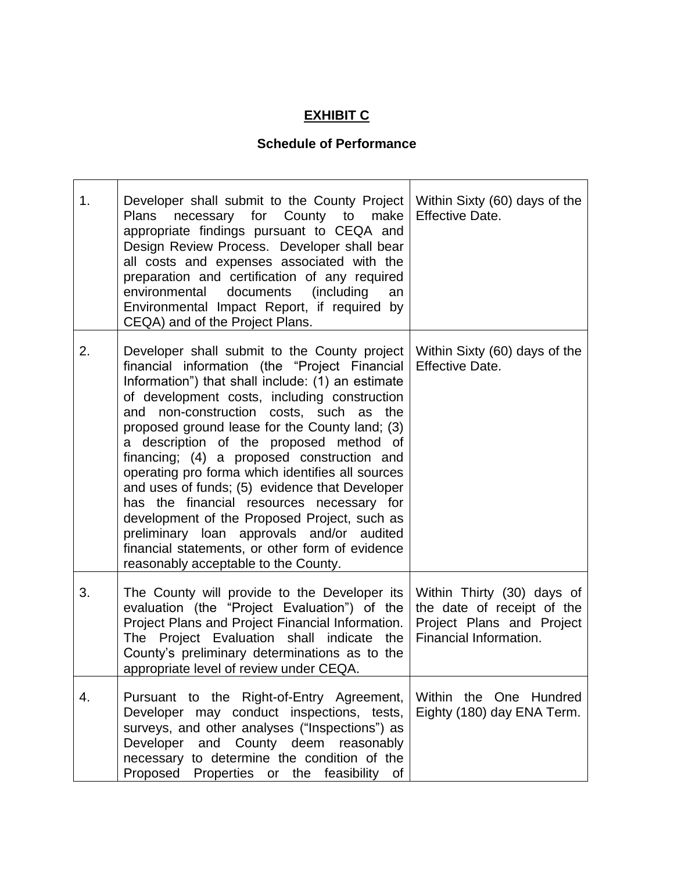# **EXHIBIT C**

# **Schedule of Performance**

| 1. | Developer shall submit to the County Project<br>necessary for County to<br>Plans<br>make<br>appropriate findings pursuant to CEQA and<br>Design Review Process. Developer shall bear<br>all costs and expenses associated with the<br>preparation and certification of any required<br>environmental documents (including<br>an<br>Environmental Impact Report, if required by<br>CEQA) and of the Project Plans.                                                                                                                                                                                                                                                                                                                   | Within Sixty (60) days of the<br><b>Effective Date.</b>                                                         |
|----|-------------------------------------------------------------------------------------------------------------------------------------------------------------------------------------------------------------------------------------------------------------------------------------------------------------------------------------------------------------------------------------------------------------------------------------------------------------------------------------------------------------------------------------------------------------------------------------------------------------------------------------------------------------------------------------------------------------------------------------|-----------------------------------------------------------------------------------------------------------------|
| 2. | Developer shall submit to the County project<br>financial information (the "Project Financial<br>Information") that shall include: (1) an estimate<br>of development costs, including construction<br>and non-construction costs, such as the<br>proposed ground lease for the County land; (3)<br>a description of the proposed method of<br>financing; (4) a proposed construction and<br>operating pro forma which identifies all sources<br>and uses of funds; (5) evidence that Developer<br>has the financial resources necessary for<br>development of the Proposed Project, such as<br>preliminary loan approvals and/or audited<br>financial statements, or other form of evidence<br>reasonably acceptable to the County. | Within Sixty (60) days of the<br><b>Effective Date.</b>                                                         |
| 3. | The County will provide to the Developer its<br>evaluation (the "Project Evaluation") of the<br>Project Plans and Project Financial Information.<br>The Project Evaluation shall indicate the<br>County's preliminary determinations as to the<br>appropriate level of review under CEQA.                                                                                                                                                                                                                                                                                                                                                                                                                                           | Within Thirty (30) days of<br>the date of receipt of the<br>Project Plans and Project<br>Financial Information. |
| 4. | Pursuant to the Right-of-Entry Agreement,<br>Developer may conduct inspections, tests,<br>surveys, and other analyses ("Inspections") as<br>Developer and County deem reasonably<br>necessary to determine the condition of the<br>Proposed Properties or<br>the feasibility of                                                                                                                                                                                                                                                                                                                                                                                                                                                     | Within the One Hundred<br>Eighty (180) day ENA Term.                                                            |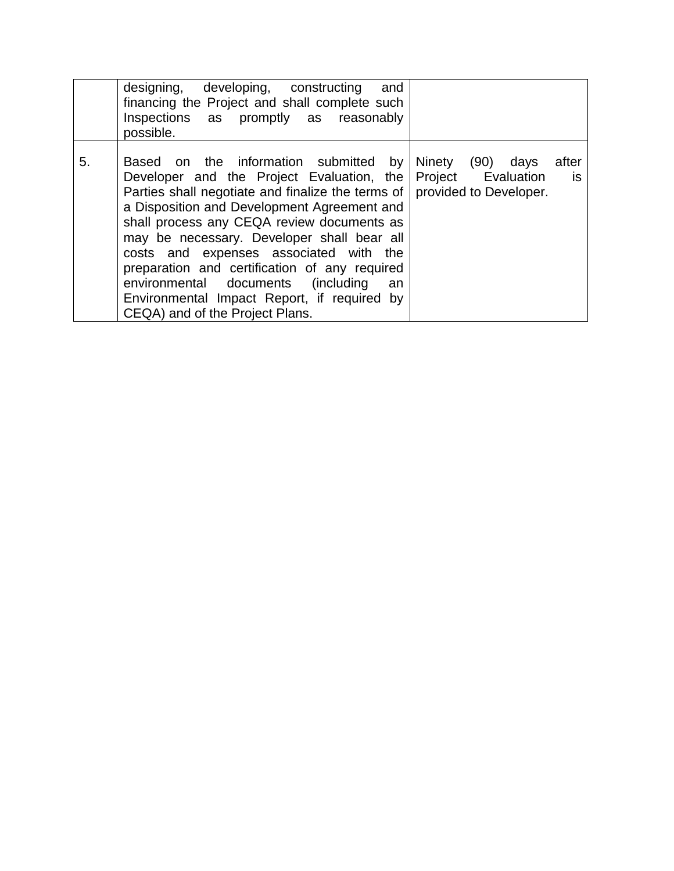|    | designing, developing, constructing<br>and<br>financing the Project and shall complete such<br>Inspections as promptly as reasonably<br>possible.                                                                                                                                                                                                                                                                                                                                                               |                                                                                 |
|----|-----------------------------------------------------------------------------------------------------------------------------------------------------------------------------------------------------------------------------------------------------------------------------------------------------------------------------------------------------------------------------------------------------------------------------------------------------------------------------------------------------------------|---------------------------------------------------------------------------------|
| 5. | Based on the information submitted by<br>Developer and the Project Evaluation, the<br>Parties shall negotiate and finalize the terms of<br>a Disposition and Development Agreement and<br>shall process any CEQA review documents as<br>may be necessary. Developer shall bear all<br>costs and expenses associated with the<br>preparation and certification of any required<br>environmental documents<br>(including)<br>an<br>Environmental Impact Report, if required by<br>CEQA) and of the Project Plans. | Ninety (90) days<br>after<br>Project Evaluation<br>is<br>provided to Developer. |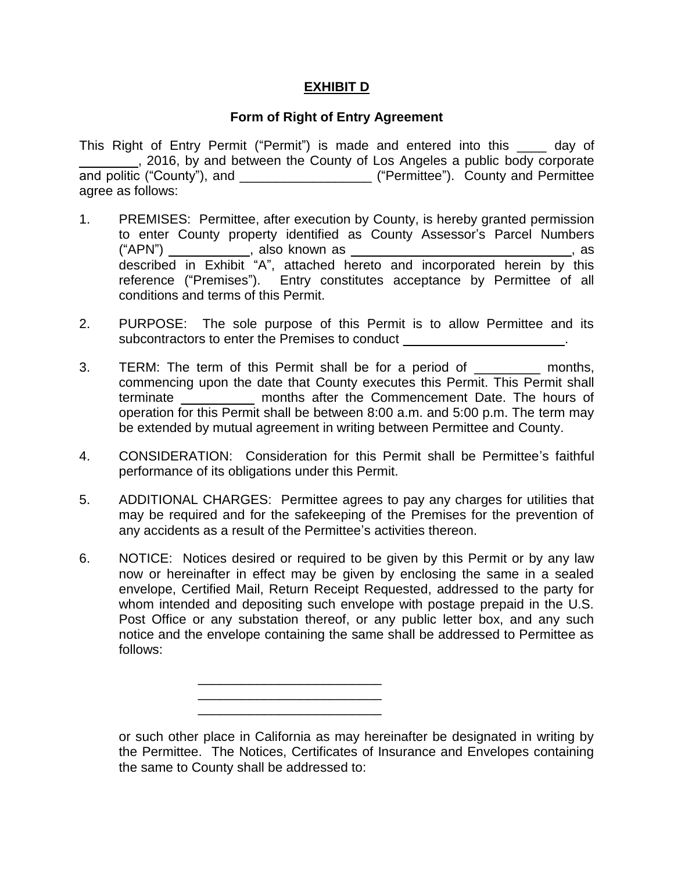# **EXHIBIT D**

# **Form of Right of Entry Agreement**

This Right of Entry Permit ("Permit") is made and entered into this \_\_\_\_ day of \_\_\_\_\_\_\_\_, 2016, by and between the County of Los Angeles a public body corporate and politic ("County"), and \_\_\_\_\_\_\_\_\_\_\_\_\_\_\_\_\_\_\_\_\_\_\_ ("Permittee"). County and Permittee agree as follows:

- 1. PREMISES: Permittee, after execution by County, is hereby granted permission to enter County property identified as County Assessor's Parcel Numbers ("APN") \_\_\_\_\_\_\_\_\_\_\_, also known as \_\_\_\_\_\_\_\_\_\_\_\_\_\_\_\_\_\_\_\_\_\_\_\_\_\_\_\_\_\_, as described in Exhibit "A", attached hereto and incorporated herein by this reference ("Premises"). Entry constitutes acceptance by Permittee of all conditions and terms of this Permit.
- 2. PURPOSE: The sole purpose of this Permit is to allow Permittee and its subcontractors to enter the Premises to conduct \_\_\_\_\_\_\_\_\_\_\_\_\_\_\_\_\_\_\_\_\_\_\_\_\_\_\_\_\_\_\_\_
- 3. TERM: The term of this Permit shall be for a period of months, commencing upon the date that County executes this Permit. This Permit shall terminate \_\_\_\_\_\_\_\_\_\_ months after the Commencement Date. The hours of operation for this Permit shall be between 8:00 a.m. and 5:00 p.m. The term may be extended by mutual agreement in writing between Permittee and County.
- 4. CONSIDERATION: Consideration for this Permit shall be Permittee's faithful performance of its obligations under this Permit.
- 5. ADDITIONAL CHARGES: Permittee agrees to pay any charges for utilities that may be required and for the safekeeping of the Premises for the prevention of any accidents as a result of the Permittee's activities thereon.
- 6. NOTICE: Notices desired or required to be given by this Permit or by any law now or hereinafter in effect may be given by enclosing the same in a sealed envelope, Certified Mail, Return Receipt Requested, addressed to the party for whom intended and depositing such envelope with postage prepaid in the U.S. Post Office or any substation thereof, or any public letter box, and any such notice and the envelope containing the same shall be addressed to Permittee as follows:



or such other place in California as may hereinafter be designated in writing by the Permittee. The Notices, Certificates of Insurance and Envelopes containing the same to County shall be addressed to: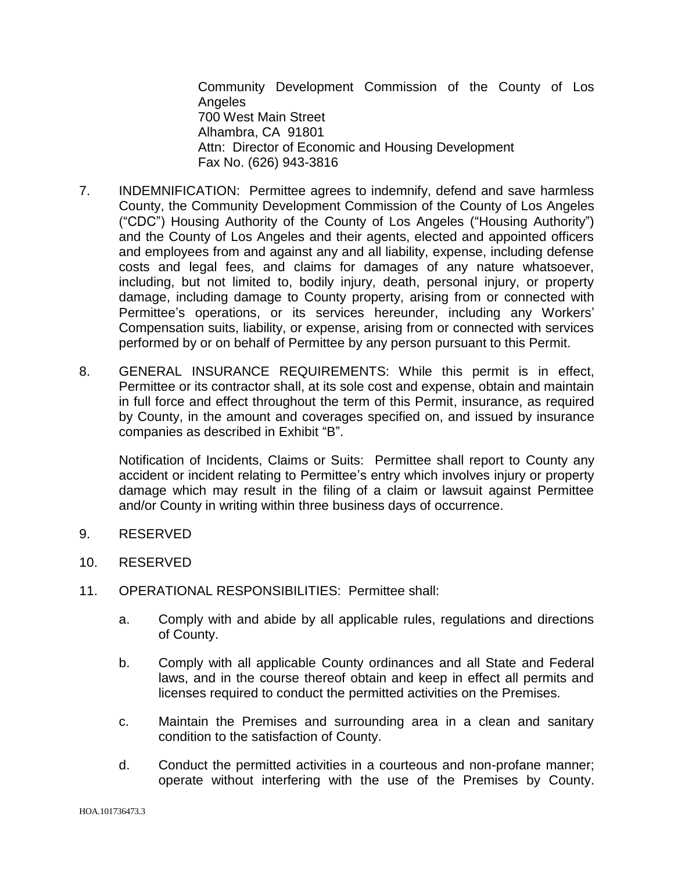Community Development Commission of the County of Los Angeles 700 West Main Street Alhambra, CA 91801 Attn: Director of Economic and Housing Development Fax No. (626) 943-3816

- 7. INDEMNIFICATION: Permittee agrees to indemnify, defend and save harmless County, the Community Development Commission of the County of Los Angeles ("CDC") Housing Authority of the County of Los Angeles ("Housing Authority") and the County of Los Angeles and their agents, elected and appointed officers and employees from and against any and all liability, expense, including defense costs and legal fees, and claims for damages of any nature whatsoever, including, but not limited to, bodily injury, death, personal injury, or property damage, including damage to County property, arising from or connected with Permittee's operations, or its services hereunder, including any Workers' Compensation suits, liability, or expense, arising from or connected with services performed by or on behalf of Permittee by any person pursuant to this Permit.
- 8. GENERAL INSURANCE REQUIREMENTS: While this permit is in effect, Permittee or its contractor shall, at its sole cost and expense, obtain and maintain in full force and effect throughout the term of this Permit, insurance, as required by County, in the amount and coverages specified on, and issued by insurance companies as described in Exhibit "B".

Notification of Incidents, Claims or Suits: Permittee shall report to County any accident or incident relating to Permittee's entry which involves injury or property damage which may result in the filing of a claim or lawsuit against Permittee and/or County in writing within three business days of occurrence.

- 9. RESERVED
- 10. RESERVED
- 11. OPERATIONAL RESPONSIBILITIES: Permittee shall:
	- a. Comply with and abide by all applicable rules, regulations and directions of County.
	- b. Comply with all applicable County ordinances and all State and Federal laws, and in the course thereof obtain and keep in effect all permits and licenses required to conduct the permitted activities on the Premises.
	- c. Maintain the Premises and surrounding area in a clean and sanitary condition to the satisfaction of County.
	- d. Conduct the permitted activities in a courteous and non-profane manner; operate without interfering with the use of the Premises by County.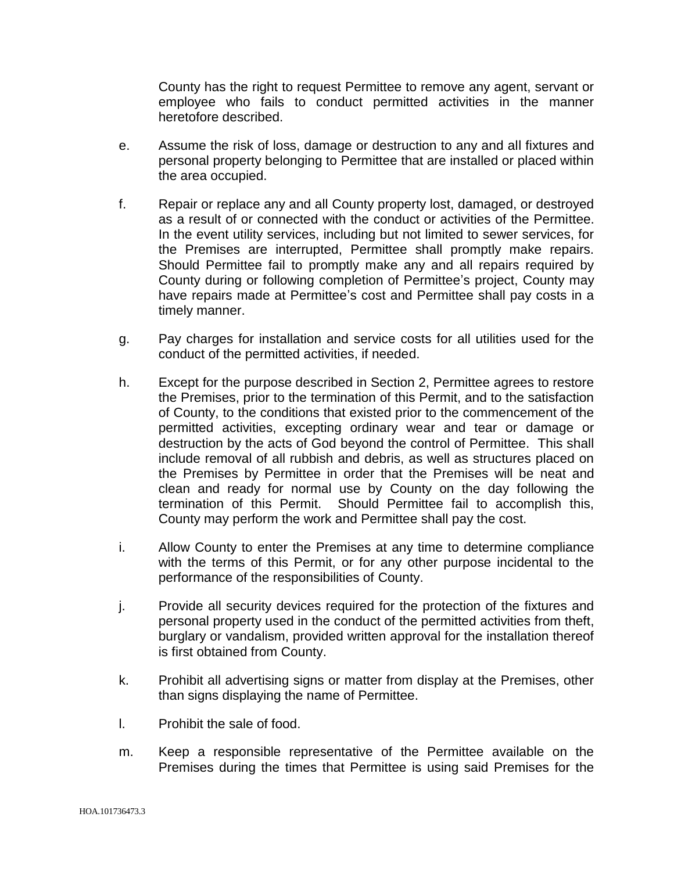County has the right to request Permittee to remove any agent, servant or employee who fails to conduct permitted activities in the manner heretofore described.

- e. Assume the risk of loss, damage or destruction to any and all fixtures and personal property belonging to Permittee that are installed or placed within the area occupied.
- f. Repair or replace any and all County property lost, damaged, or destroyed as a result of or connected with the conduct or activities of the Permittee. In the event utility services, including but not limited to sewer services, for the Premises are interrupted, Permittee shall promptly make repairs. Should Permittee fail to promptly make any and all repairs required by County during or following completion of Permittee's project, County may have repairs made at Permittee's cost and Permittee shall pay costs in a timely manner.
- g. Pay charges for installation and service costs for all utilities used for the conduct of the permitted activities, if needed.
- h. Except for the purpose described in Section 2, Permittee agrees to restore the Premises, prior to the termination of this Permit, and to the satisfaction of County, to the conditions that existed prior to the commencement of the permitted activities, excepting ordinary wear and tear or damage or destruction by the acts of God beyond the control of Permittee. This shall include removal of all rubbish and debris, as well as structures placed on the Premises by Permittee in order that the Premises will be neat and clean and ready for normal use by County on the day following the termination of this Permit. Should Permittee fail to accomplish this, County may perform the work and Permittee shall pay the cost.
- i. Allow County to enter the Premises at any time to determine compliance with the terms of this Permit, or for any other purpose incidental to the performance of the responsibilities of County.
- j. Provide all security devices required for the protection of the fixtures and personal property used in the conduct of the permitted activities from theft, burglary or vandalism, provided written approval for the installation thereof is first obtained from County.
- k. Prohibit all advertising signs or matter from display at the Premises, other than signs displaying the name of Permittee.
- l. Prohibit the sale of food.
- m. Keep a responsible representative of the Permittee available on the Premises during the times that Permittee is using said Premises for the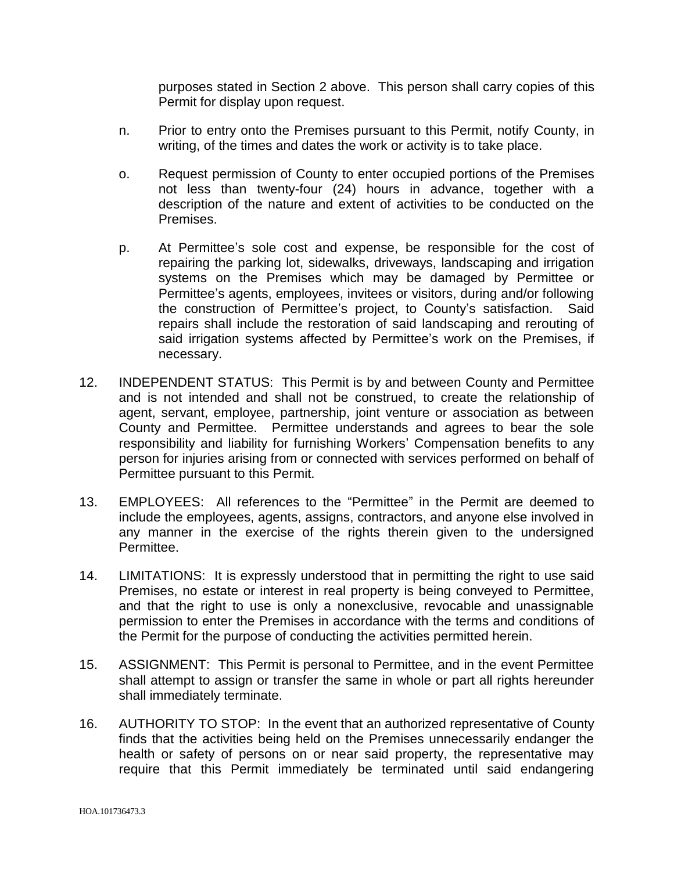purposes stated in Section 2 above. This person shall carry copies of this Permit for display upon request.

- n. Prior to entry onto the Premises pursuant to this Permit, notify County, in writing, of the times and dates the work or activity is to take place.
- o. Request permission of County to enter occupied portions of the Premises not less than twenty-four (24) hours in advance, together with a description of the nature and extent of activities to be conducted on the Premises.
- p. At Permittee's sole cost and expense, be responsible for the cost of repairing the parking lot, sidewalks, driveways, landscaping and irrigation systems on the Premises which may be damaged by Permittee or Permittee's agents, employees, invitees or visitors, during and/or following the construction of Permittee's project, to County's satisfaction. Said repairs shall include the restoration of said landscaping and rerouting of said irrigation systems affected by Permittee's work on the Premises, if necessary.
- 12. INDEPENDENT STATUS: This Permit is by and between County and Permittee and is not intended and shall not be construed, to create the relationship of agent, servant, employee, partnership, joint venture or association as between County and Permittee. Permittee understands and agrees to bear the sole responsibility and liability for furnishing Workers' Compensation benefits to any person for injuries arising from or connected with services performed on behalf of Permittee pursuant to this Permit.
- 13. EMPLOYEES: All references to the "Permittee" in the Permit are deemed to include the employees, agents, assigns, contractors, and anyone else involved in any manner in the exercise of the rights therein given to the undersigned Permittee.
- 14. LIMITATIONS: It is expressly understood that in permitting the right to use said Premises, no estate or interest in real property is being conveyed to Permittee, and that the right to use is only a nonexclusive, revocable and unassignable permission to enter the Premises in accordance with the terms and conditions of the Permit for the purpose of conducting the activities permitted herein.
- 15. ASSIGNMENT: This Permit is personal to Permittee, and in the event Permittee shall attempt to assign or transfer the same in whole or part all rights hereunder shall immediately terminate.
- 16. AUTHORITY TO STOP: In the event that an authorized representative of County finds that the activities being held on the Premises unnecessarily endanger the health or safety of persons on or near said property, the representative may require that this Permit immediately be terminated until said endangering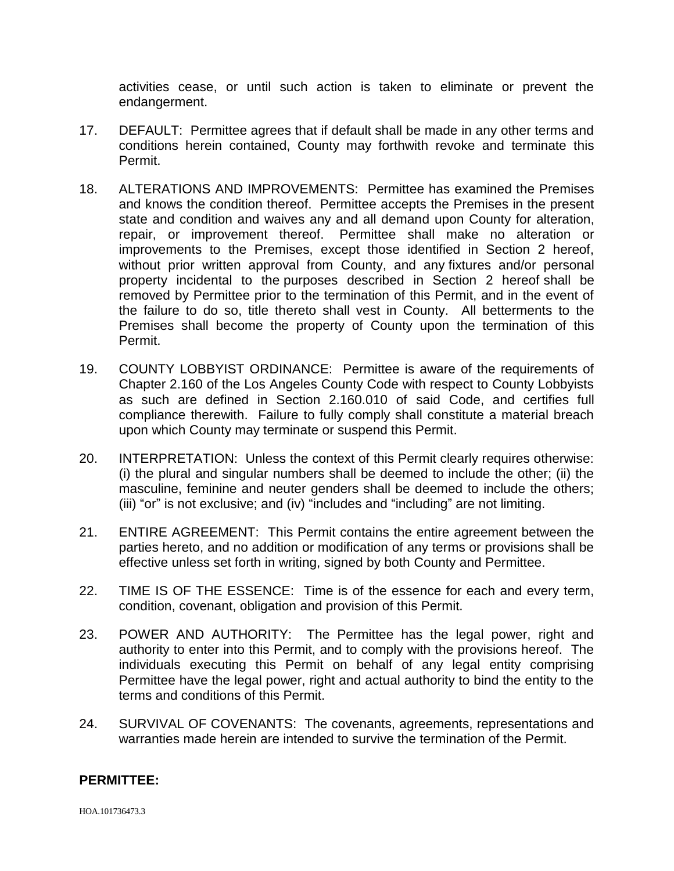activities cease, or until such action is taken to eliminate or prevent the endangerment.

- 17. DEFAULT: Permittee agrees that if default shall be made in any other terms and conditions herein contained, County may forthwith revoke and terminate this Permit.
- 18. ALTERATIONS AND IMPROVEMENTS: Permittee has examined the Premises and knows the condition thereof. Permittee accepts the Premises in the present state and condition and waives any and all demand upon County for alteration, repair, or improvement thereof. Permittee shall make no alteration or improvements to the Premises, except those identified in Section 2 hereof, without prior written approval from County, and any fixtures and/or personal property incidental to the purposes described in Section 2 hereof shall be removed by Permittee prior to the termination of this Permit, and in the event of the failure to do so, title thereto shall vest in County. All betterments to the Premises shall become the property of County upon the termination of this Permit.
- 19. COUNTY LOBBYIST ORDINANCE: Permittee is aware of the requirements of Chapter 2.160 of the Los Angeles County Code with respect to County Lobbyists as such are defined in Section 2.160.010 of said Code, and certifies full compliance therewith. Failure to fully comply shall constitute a material breach upon which County may terminate or suspend this Permit.
- 20. INTERPRETATION: Unless the context of this Permit clearly requires otherwise: (i) the plural and singular numbers shall be deemed to include the other; (ii) the masculine, feminine and neuter genders shall be deemed to include the others; (iii) "or" is not exclusive; and (iv) "includes and "including" are not limiting.
- 21. ENTIRE AGREEMENT: This Permit contains the entire agreement between the parties hereto, and no addition or modification of any terms or provisions shall be effective unless set forth in writing, signed by both County and Permittee.
- 22. TIME IS OF THE ESSENCE: Time is of the essence for each and every term, condition, covenant, obligation and provision of this Permit.
- 23. POWER AND AUTHORITY: The Permittee has the legal power, right and authority to enter into this Permit, and to comply with the provisions hereof. The individuals executing this Permit on behalf of any legal entity comprising Permittee have the legal power, right and actual authority to bind the entity to the terms and conditions of this Permit.
- 24. SURVIVAL OF COVENANTS: The covenants, agreements, representations and warranties made herein are intended to survive the termination of the Permit.

#### **PERMITTEE:**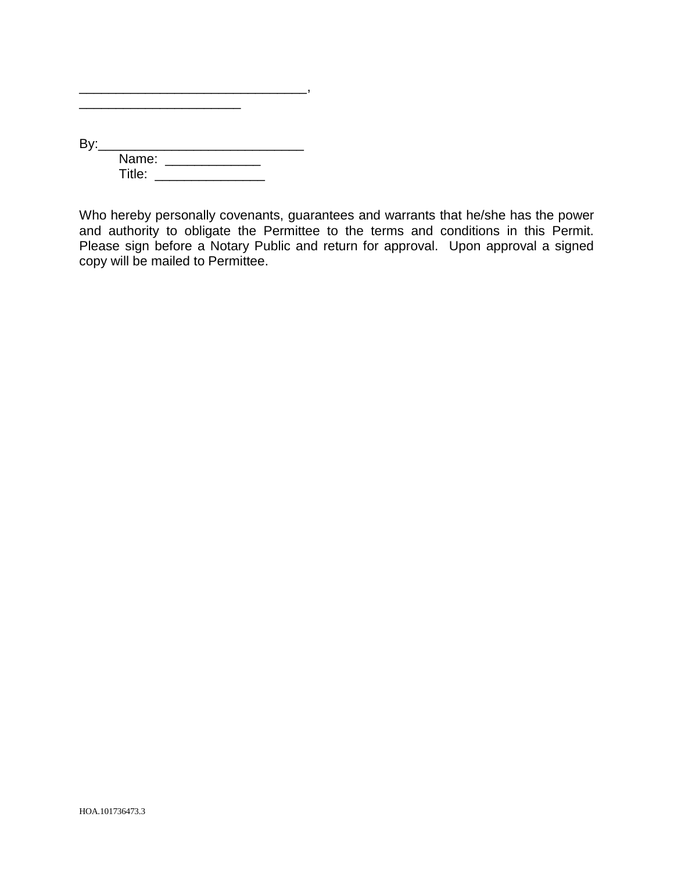| Bv: |        |  |
|-----|--------|--|
|     | Name:  |  |
|     | Title: |  |

\_\_\_\_\_\_\_\_\_\_\_\_\_\_\_\_\_\_\_\_\_\_\_\_\_\_\_\_\_\_\_,  $\overline{\phantom{a}}$  ,  $\overline{\phantom{a}}$  ,  $\overline{\phantom{a}}$  ,  $\overline{\phantom{a}}$  ,  $\overline{\phantom{a}}$  ,  $\overline{\phantom{a}}$  ,  $\overline{\phantom{a}}$  ,  $\overline{\phantom{a}}$  ,  $\overline{\phantom{a}}$  ,  $\overline{\phantom{a}}$  ,  $\overline{\phantom{a}}$  ,  $\overline{\phantom{a}}$  ,  $\overline{\phantom{a}}$  ,  $\overline{\phantom{a}}$  ,  $\overline{\phantom{a}}$  ,  $\overline{\phantom{a}}$ 

Who hereby personally covenants, guarantees and warrants that he/she has the power and authority to obligate the Permittee to the terms and conditions in this Permit. Please sign before a Notary Public and return for approval. Upon approval a signed copy will be mailed to Permittee.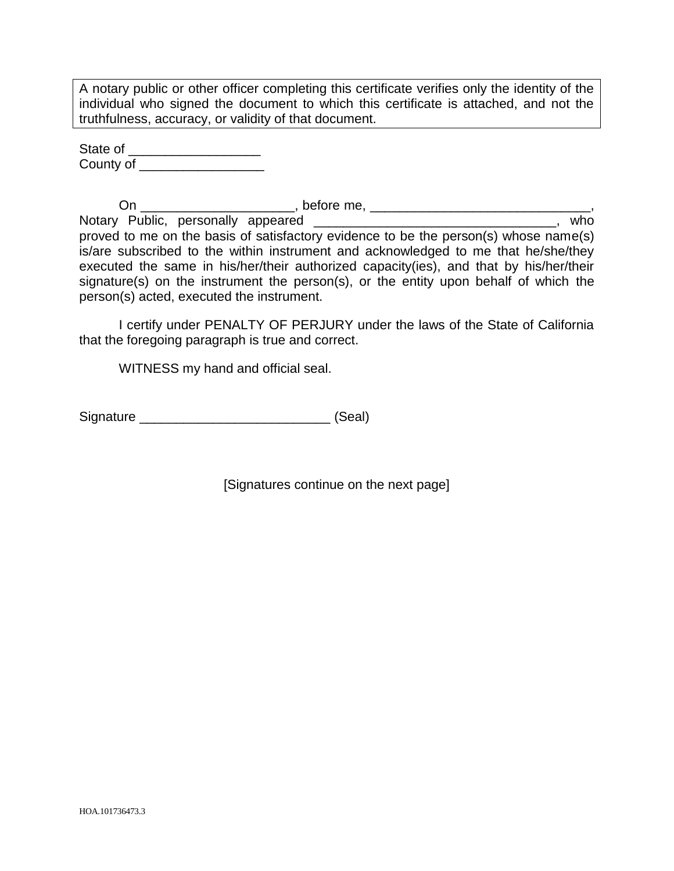A notary public or other officer completing this certificate verifies only the identity of the individual who signed the document to which this certificate is attached, and not the truthfulness, accuracy, or validity of that document.

State of \_\_\_\_\_\_\_\_\_\_\_\_\_\_\_\_\_\_ County of **Exercise 20** 

On \_\_\_\_\_\_\_\_\_\_\_\_\_\_\_\_\_\_\_\_\_, before me, \_\_\_\_\_\_\_\_\_\_\_\_\_\_\_\_\_\_\_\_\_\_\_\_\_\_\_\_\_\_, Notary Public, personally appeared \_\_\_\_\_\_\_\_\_\_\_\_\_\_\_\_\_\_\_\_\_\_\_\_\_\_\_\_\_\_\_\_\_\_\_, who proved to me on the basis of satisfactory evidence to be the person(s) whose name(s) is/are subscribed to the within instrument and acknowledged to me that he/she/they executed the same in his/her/their authorized capacity(ies), and that by his/her/their signature(s) on the instrument the person(s), or the entity upon behalf of which the person(s) acted, executed the instrument.

I certify under PENALTY OF PERJURY under the laws of the State of California that the foregoing paragraph is true and correct.

WITNESS my hand and official seal.

Signature \_\_\_\_\_\_\_\_\_\_\_\_\_\_\_\_\_\_\_\_\_\_\_\_\_\_ (Seal)

[Signatures continue on the next page]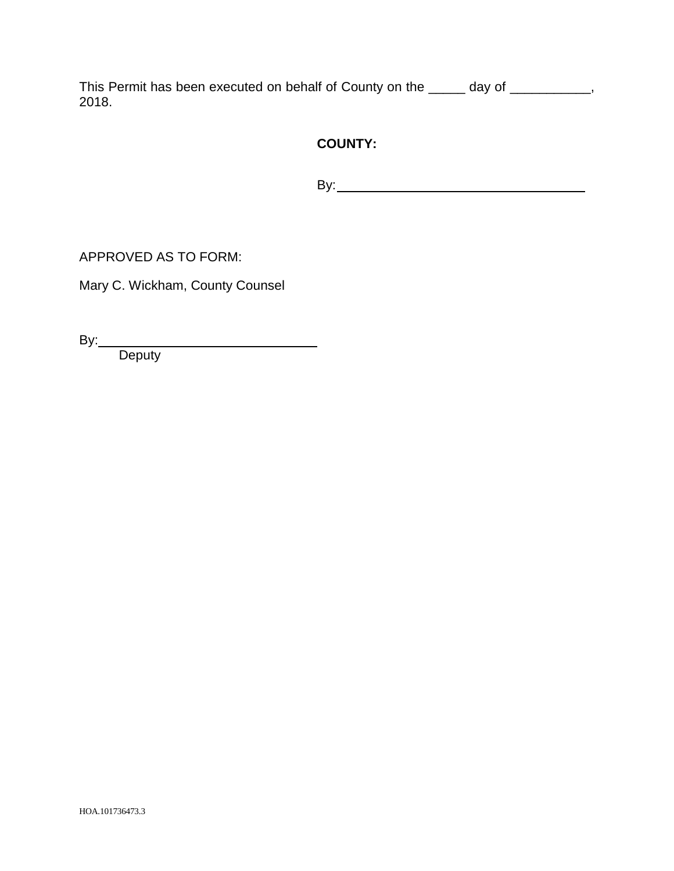This Permit has been executed on behalf of County on the \_\_\_\_\_ day of \_\_\_\_\_\_\_\_\_\_, 2018.

# **COUNTY:**

By:

APPROVED AS TO FORM:

Mary C. Wickham, County Counsel

By:

**Deputy**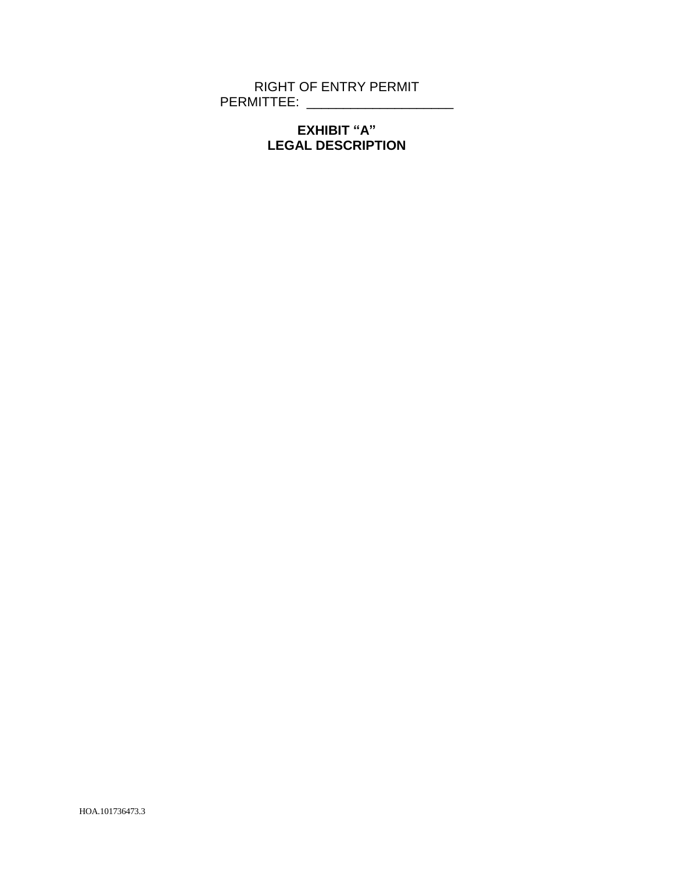RIGHT OF ENTRY PERMIT PERMITTEE: \_\_\_\_\_\_\_\_\_\_\_\_\_\_\_\_\_\_\_\_

# **EXHIBIT "A" LEGAL DESCRIPTION**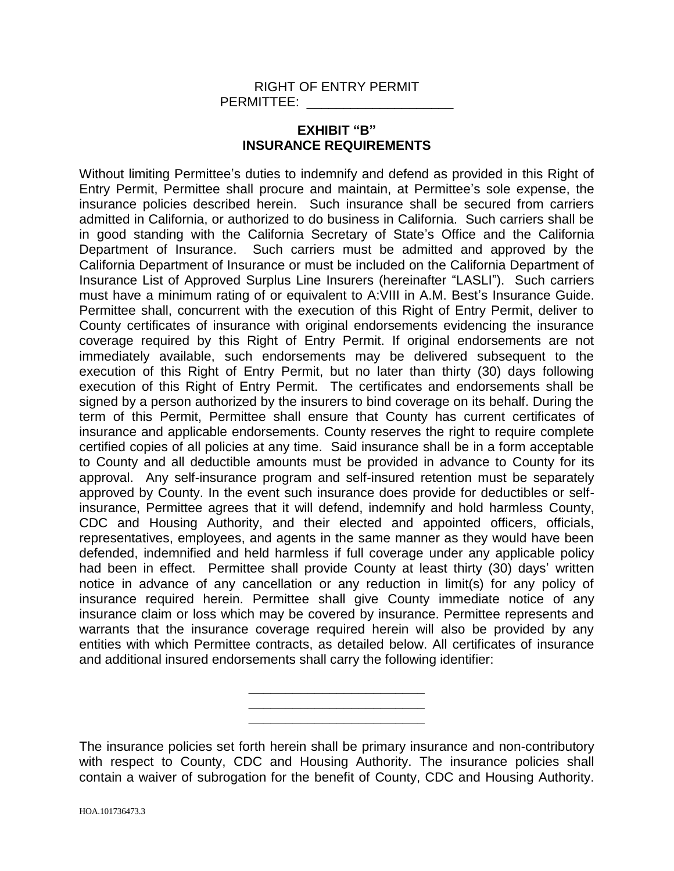#### RIGHT OF ENTRY PERMIT PERMITTEE:

## **EXHIBIT "B" INSURANCE REQUIREMENTS**

Without limiting Permittee's duties to indemnify and defend as provided in this Right of Entry Permit, Permittee shall procure and maintain, at Permittee's sole expense, the insurance policies described herein. Such insurance shall be secured from carriers admitted in California, or authorized to do business in California. Such carriers shall be in good standing with the California Secretary of State's Office and the California Department of Insurance. Such carriers must be admitted and approved by the California Department of Insurance or must be included on the California Department of Insurance List of Approved Surplus Line Insurers (hereinafter "LASLI"). Such carriers must have a minimum rating of or equivalent to A:VIII in A.M. Best's Insurance Guide. Permittee shall, concurrent with the execution of this Right of Entry Permit, deliver to County certificates of insurance with original endorsements evidencing the insurance coverage required by this Right of Entry Permit. If original endorsements are not immediately available, such endorsements may be delivered subsequent to the execution of this Right of Entry Permit, but no later than thirty (30) days following execution of this Right of Entry Permit. The certificates and endorsements shall be signed by a person authorized by the insurers to bind coverage on its behalf. During the term of this Permit, Permittee shall ensure that County has current certificates of insurance and applicable endorsements. County reserves the right to require complete certified copies of all policies at any time. Said insurance shall be in a form acceptable to County and all deductible amounts must be provided in advance to County for its approval. Any self-insurance program and self-insured retention must be separately approved by County. In the event such insurance does provide for deductibles or selfinsurance, Permittee agrees that it will defend, indemnify and hold harmless County, CDC and Housing Authority, and their elected and appointed officers, officials, representatives, employees, and agents in the same manner as they would have been defended, indemnified and held harmless if full coverage under any applicable policy had been in effect. Permittee shall provide County at least thirty (30) days' written notice in advance of any cancellation or any reduction in limit(s) for any policy of insurance required herein. Permittee shall give County immediate notice of any insurance claim or loss which may be covered by insurance. Permittee represents and warrants that the insurance coverage required herein will also be provided by any entities with which Permittee contracts, as detailed below. All certificates of insurance and additional insured endorsements shall carry the following identifier:

|  |  | ____ |
|--|--|------|
|  |  |      |

The insurance policies set forth herein shall be primary insurance and non-contributory with respect to County, CDC and Housing Authority. The insurance policies shall contain a waiver of subrogation for the benefit of County, CDC and Housing Authority.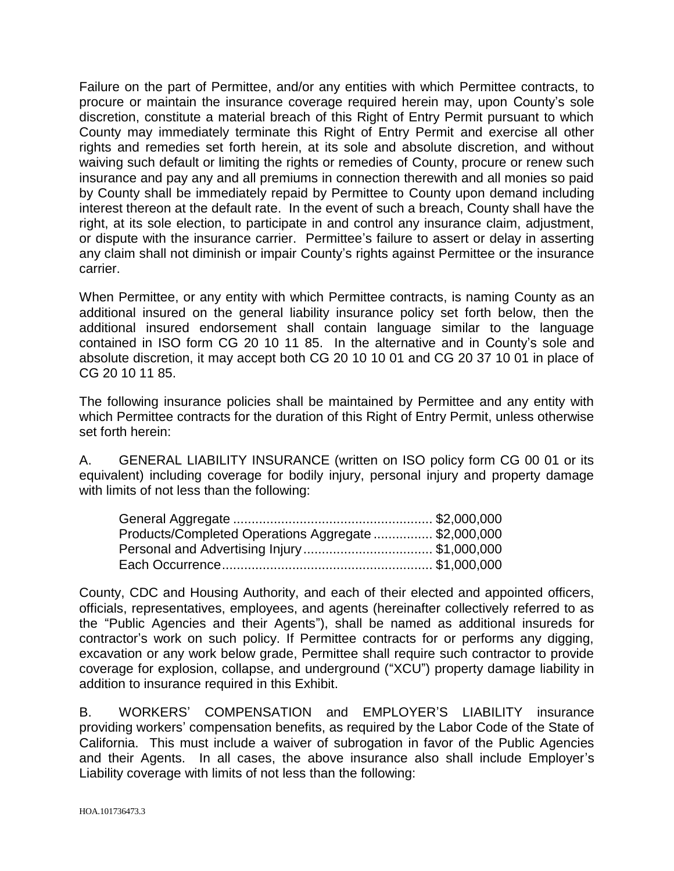Failure on the part of Permittee, and/or any entities with which Permittee contracts, to procure or maintain the insurance coverage required herein may, upon County's sole discretion, constitute a material breach of this Right of Entry Permit pursuant to which County may immediately terminate this Right of Entry Permit and exercise all other rights and remedies set forth herein, at its sole and absolute discretion, and without waiving such default or limiting the rights or remedies of County, procure or renew such insurance and pay any and all premiums in connection therewith and all monies so paid by County shall be immediately repaid by Permittee to County upon demand including interest thereon at the default rate. In the event of such a breach, County shall have the right, at its sole election, to participate in and control any insurance claim, adjustment, or dispute with the insurance carrier. Permittee's failure to assert or delay in asserting any claim shall not diminish or impair County's rights against Permittee or the insurance carrier.

When Permittee, or any entity with which Permittee contracts, is naming County as an additional insured on the general liability insurance policy set forth below, then the additional insured endorsement shall contain language similar to the language contained in ISO form CG 20 10 11 85. In the alternative and in County's sole and absolute discretion, it may accept both CG 20 10 10 01 and CG 20 37 10 01 in place of CG 20 10 11 85.

The following insurance policies shall be maintained by Permittee and any entity with which Permittee contracts for the duration of this Right of Entry Permit, unless otherwise set forth herein:

A. GENERAL LIABILITY INSURANCE (written on ISO policy form CG 00 01 or its equivalent) including coverage for bodily injury, personal injury and property damage with limits of not less than the following:

| Products/Completed Operations Aggregate \$2,000,000 |  |
|-----------------------------------------------------|--|
| Personal and Advertising Injury\$1,000,000          |  |
|                                                     |  |

County, CDC and Housing Authority, and each of their elected and appointed officers, officials, representatives, employees, and agents (hereinafter collectively referred to as the "Public Agencies and their Agents"), shall be named as additional insureds for contractor's work on such policy. If Permittee contracts for or performs any digging, excavation or any work below grade, Permittee shall require such contractor to provide coverage for explosion, collapse, and underground ("XCU") property damage liability in addition to insurance required in this Exhibit.

B. WORKERS' COMPENSATION and EMPLOYER'S LIABILITY insurance providing workers' compensation benefits, as required by the Labor Code of the State of California. This must include a waiver of subrogation in favor of the Public Agencies and their Agents. In all cases, the above insurance also shall include Employer's Liability coverage with limits of not less than the following: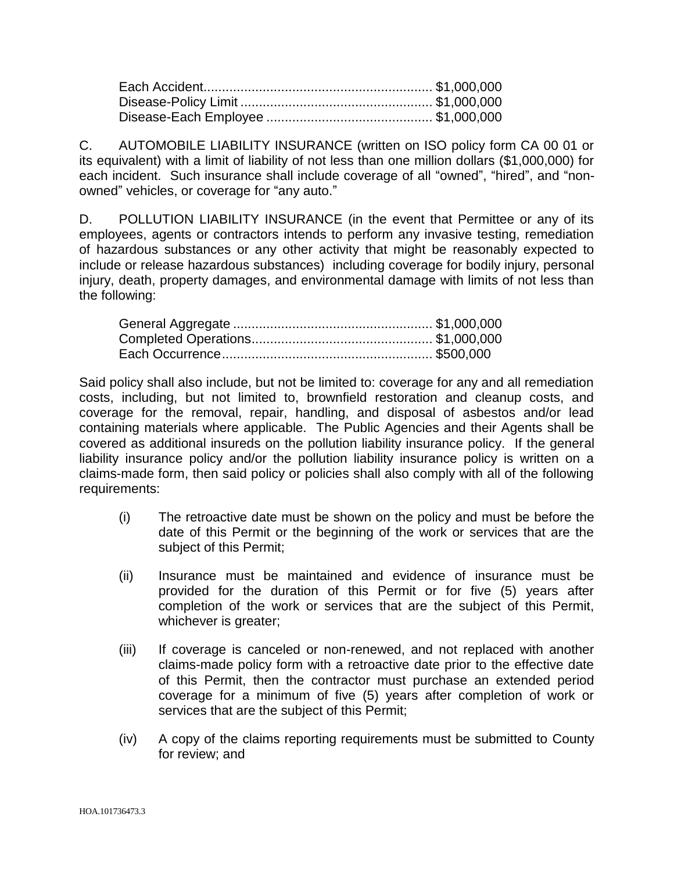C. AUTOMOBILE LIABILITY INSURANCE (written on ISO policy form CA 00 01 or its equivalent) with a limit of liability of not less than one million dollars (\$1,000,000) for each incident. Such insurance shall include coverage of all "owned", "hired", and "nonowned" vehicles, or coverage for "any auto."

D. POLLUTION LIABILITY INSURANCE (in the event that Permittee or any of its employees, agents or contractors intends to perform any invasive testing, remediation of hazardous substances or any other activity that might be reasonably expected to include or release hazardous substances) including coverage for bodily injury, personal injury, death, property damages, and environmental damage with limits of not less than the following:

Said policy shall also include, but not be limited to: coverage for any and all remediation costs, including, but not limited to, brownfield restoration and cleanup costs, and coverage for the removal, repair, handling, and disposal of asbestos and/or lead containing materials where applicable. The Public Agencies and their Agents shall be covered as additional insureds on the pollution liability insurance policy. If the general liability insurance policy and/or the pollution liability insurance policy is written on a claims-made form, then said policy or policies shall also comply with all of the following requirements:

- (i) The retroactive date must be shown on the policy and must be before the date of this Permit or the beginning of the work or services that are the subject of this Permit;
- (ii) Insurance must be maintained and evidence of insurance must be provided for the duration of this Permit or for five (5) years after completion of the work or services that are the subject of this Permit, whichever is greater;
- (iii) If coverage is canceled or non-renewed, and not replaced with another claims-made policy form with a retroactive date prior to the effective date of this Permit, then the contractor must purchase an extended period coverage for a minimum of five (5) years after completion of work or services that are the subject of this Permit;
- (iv) A copy of the claims reporting requirements must be submitted to County for review; and